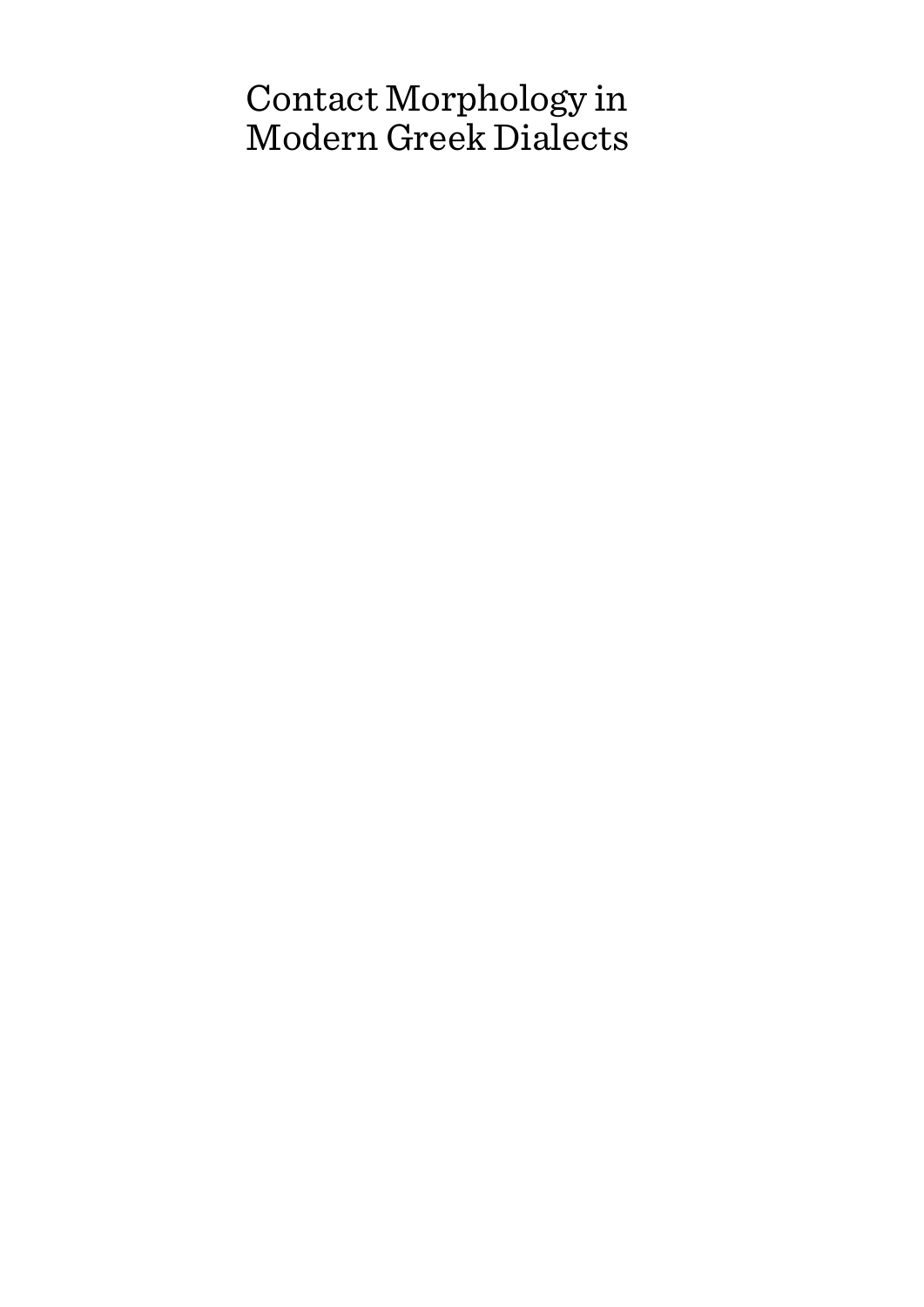# Contact Morphology in Modern Greek Dialects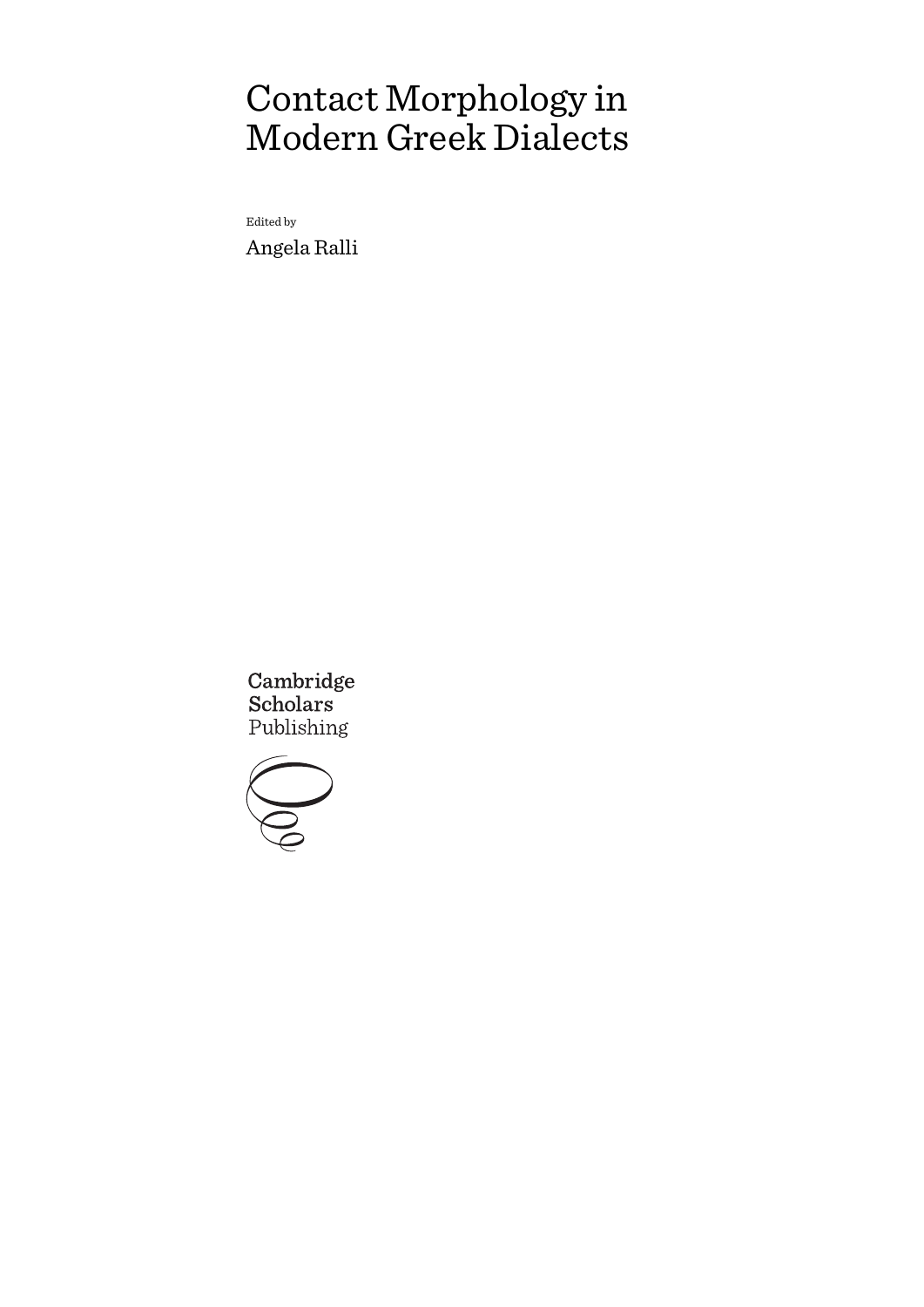# Contact Morphology in Modern Greek Dialects

Edited by Angela Ralli

Cambridge **Scholars** Publishing

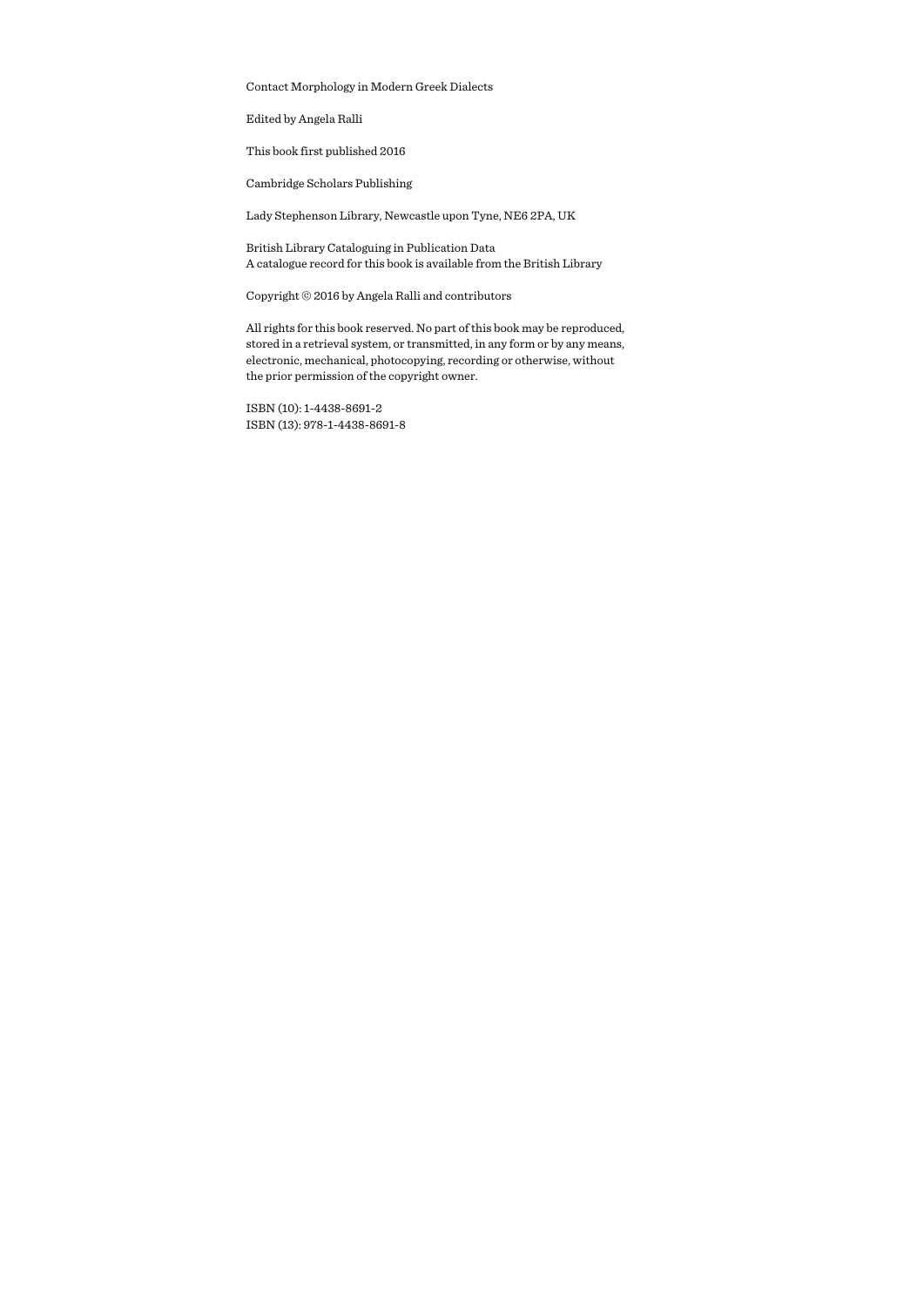Contact Morphology in Modern Greek Dialects

Edited by Angela Ralli

This book first published 2016

Cambridge Scholars Publishing

Lady Stephenson Library, Newcastle upon Tyne, NE6 2PA, UK

British Library Cataloguing in Publication Data A catalogue record for this book is available from the British Library

Copyright © 2016 by Angela Ralli and contributors

All rights for this book reserved. No part of this book may be reproduced, stored in a retrieval system, or transmitted, in any form or by any means, electronic, mechanical, photocopying, recording or otherwise, without the prior permission of the copyright owner.

ISBN (10): 1-4438-8691-2 ISBN (13): 978-1-4438-8691-8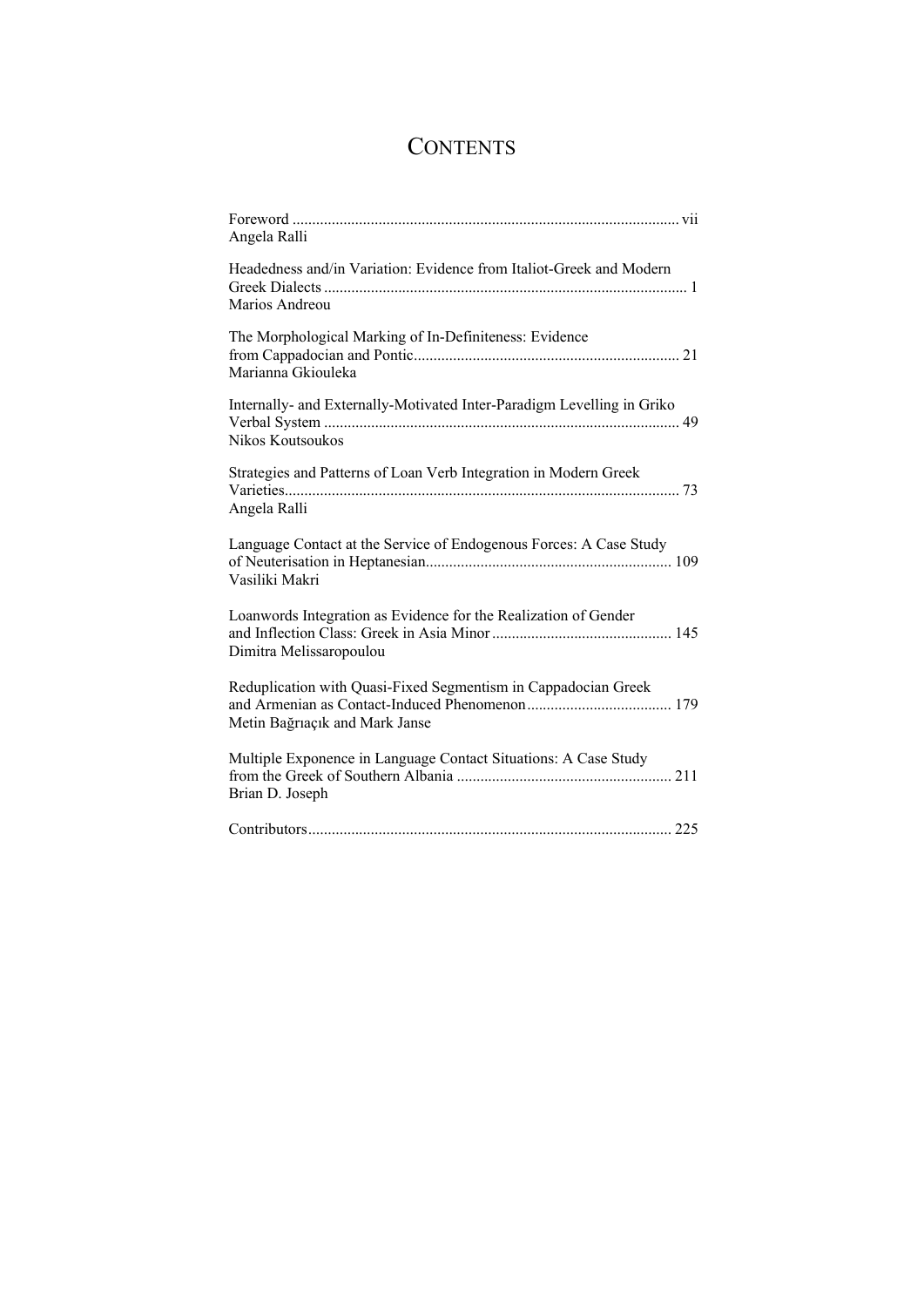# **CONTENTS**

| Angela Ralli                                                                                     |
|--------------------------------------------------------------------------------------------------|
| Headedness and/in Variation: Evidence from Italiot-Greek and Modern                              |
| Marios Andreou                                                                                   |
| The Morphological Marking of In-Definiteness: Evidence<br>Marianna Gkiouleka                     |
| Internally- and Externally-Motivated Inter-Paradigm Levelling in Griko<br>Nikos Koutsoukos       |
| Strategies and Patterns of Loan Verb Integration in Modern Greek<br>Angela Ralli                 |
| Language Contact at the Service of Endogenous Forces: A Case Study<br>Vasiliki Makri             |
| Loanwords Integration as Evidence for the Realization of Gender<br>Dimitra Melissaropoulou       |
| Reduplication with Quasi-Fixed Segmentism in Cappadocian Greek<br>Metin Bağrıaçık and Mark Janse |
| Multiple Exponence in Language Contact Situations: A Case Study<br>Brian D. Joseph               |
|                                                                                                  |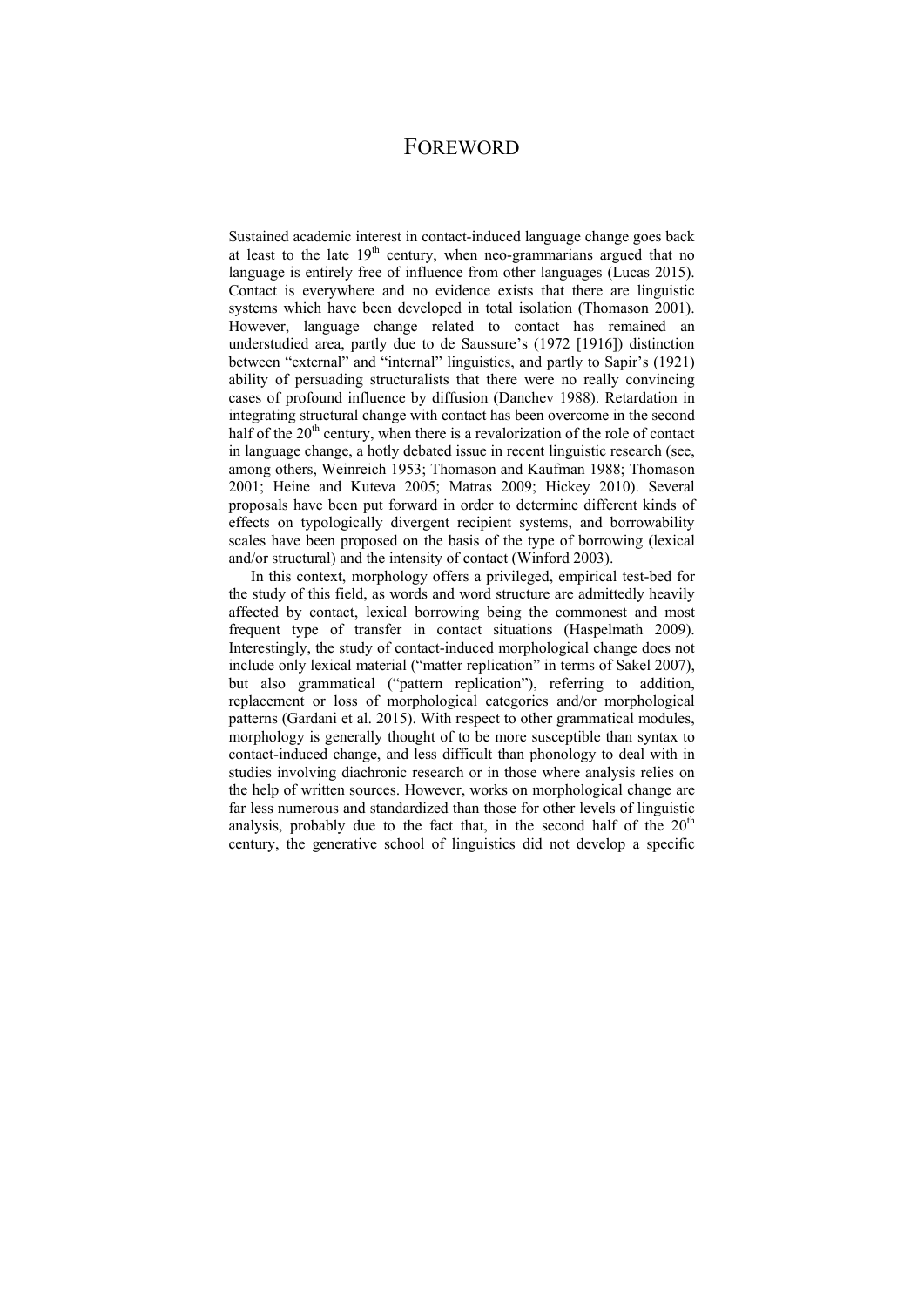# FOREWORD

Sustained academic interest in contact-induced language change goes back at least to the late  $19<sup>th</sup>$  century, when neo-grammarians argued that no language is entirely free of influence from other languages (Lucas 2015). Contact is everywhere and no evidence exists that there are linguistic systems which have been developed in total isolation (Thomason 2001). However, language change related to contact has remained an understudied area, partly due to de Saussure's (1972 [1916]) distinction between "external" and "internal" linguistics, and partly to Sapir's (1921) ability of persuading structuralists that there were no really convincing cases of profound influence by diffusion (Danchev 1988). Retardation in integrating structural change with contact has been overcome in the second half of the  $20<sup>th</sup>$  century, when there is a revalorization of the role of contact in language change, a hotly debated issue in recent linguistic research (see, among others, Weinreich 1953; Thomason and Kaufman 1988; Thomason 2001; Heine and Kuteva 2005; Matras 2009; Hickey 2010). Several proposals have been put forward in order to determine different kinds of effects on typologically divergent recipient systems, and borrowability scales have been proposed on the basis of the type of borrowing (lexical and/or structural) and the intensity of contact (Winford 2003).

In this context, morphology offers a privileged, empirical test-bed for the study of this field, as words and word structure are admittedly heavily affected by contact, lexical borrowing being the commonest and most frequent type of transfer in contact situations (Haspelmath 2009). Interestingly, the study of contact-induced morphological change does not include only lexical material ("matter replication" in terms of Sakel 2007), but also grammatical ("pattern replication"), referring to addition, replacement or loss of morphological categories and/or morphological patterns (Gardani et al. 2015). With respect to other grammatical modules, morphology is generally thought of to be more susceptible than syntax to contact-induced change, and less difficult than phonology to deal with in studies involving diachronic research or in those where analysis relies on the help of written sources. However, works on morphological change are far less numerous and standardized than those for other levels of linguistic analysis, probably due to the fact that, in the second half of the  $20<sup>th</sup>$ century, the generative school of linguistics did not develop a specific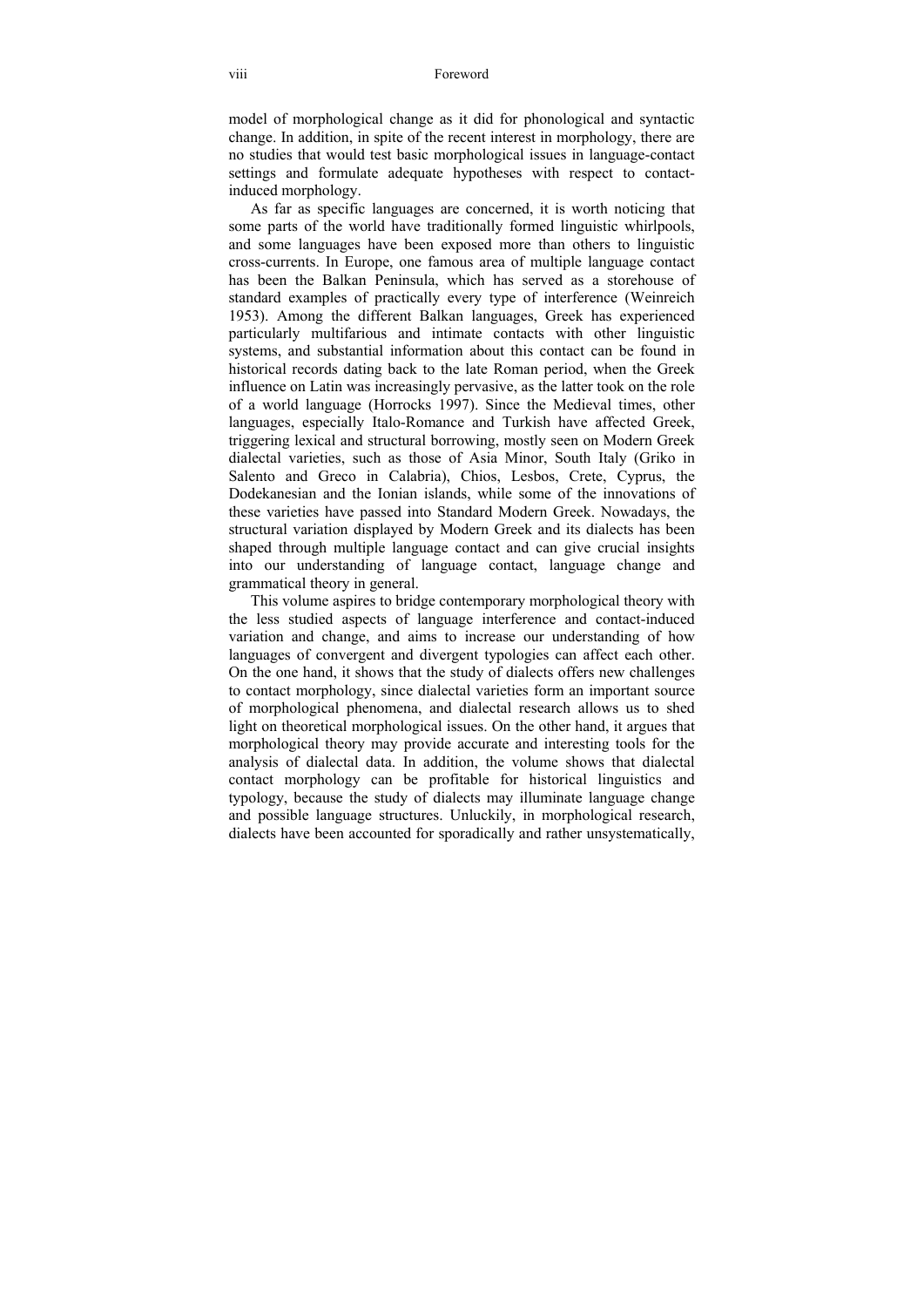model of morphological change as it did for phonological and syntactic change. In addition, in spite of the recent interest in morphology, there are no studies that would test basic morphological issues in language-contact settings and formulate adequate hypotheses with respect to contactinduced morphology.

As far as specific languages are concerned, it is worth noticing that some parts of the world have traditionally formed linguistic whirlpools, and some languages have been exposed more than others to linguistic cross-currents. In Europe, one famous area of multiple language contact has been the Balkan Peninsula, which has served as a storehouse of standard examples of practically every type of interference (Weinreich 1953). Among the different Balkan languages, Greek has experienced particularly multifarious and intimate contacts with other linguistic systems, and substantial information about this contact can be found in historical records dating back to the late Roman period, when the Greek influence on Latin was increasingly pervasive, as the latter took on the role of a world language (Horrocks 1997). Since the Medieval times, other languages, especially Italo-Romance and Turkish have affected Greek, triggering lexical and structural borrowing, mostly seen on Modern Greek dialectal varieties, such as those of Asia Minor, South Italy (Griko in Salento and Greco in Calabria), Chios, Lesbos, Crete, Cyprus, the Dodekanesian and the Ionian islands, while some of the innovations of these varieties have passed into Standard Modern Greek. Nowadays, the structural variation displayed by Modern Greek and its dialects has been shaped through multiple language contact and can give crucial insights into our understanding of language contact, language change and grammatical theory in general.

This volume aspires to bridge contemporary morphological theory with the less studied aspects of language interference and contact-induced variation and change, and aims to increase our understanding of how languages of convergent and divergent typologies can affect each other. On the one hand, it shows that the study of dialects offers new challenges to contact morphology, since dialectal varieties form an important source of morphological phenomena, and dialectal research allows us to shed light on theoretical morphological issues. On the other hand, it argues that morphological theory may provide accurate and interesting tools for the analysis of dialectal data. In addition, the volume shows that dialectal contact morphology can be profitable for historical linguistics and typology, because the study of dialects may illuminate language change and possible language structures. Unluckily, in morphological research, dialects have been accounted for sporadically and rather unsystematically,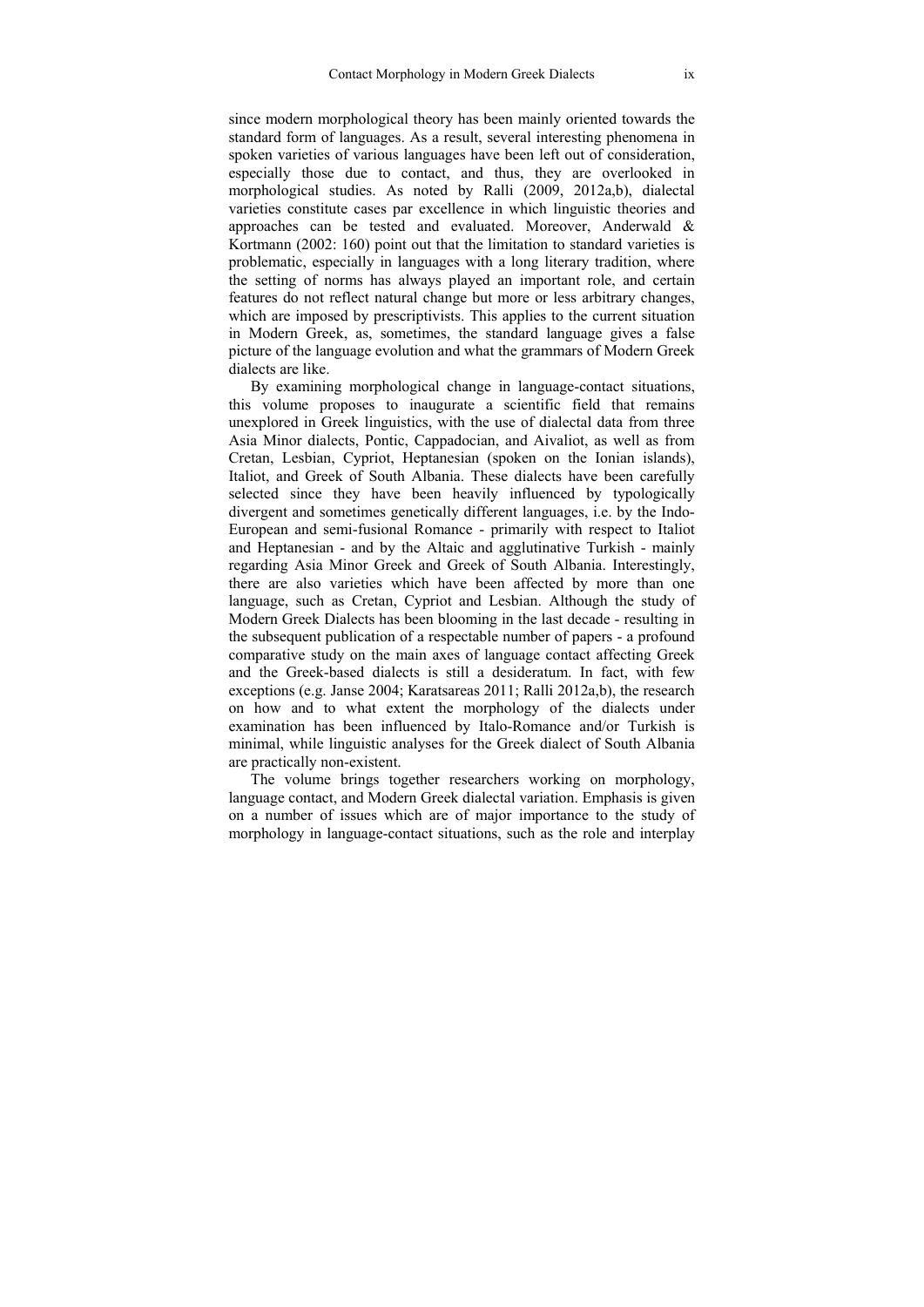since modern morphological theory has been mainly oriented towards the standard form of languages. As a result, several interesting phenomena in spoken varieties of various languages have been left out of consideration, especially those due to contact, and thus, they are overlooked in morphological studies. As noted by Ralli (2009, 2012a,b), dialectal varieties constitute cases par excellence in which linguistic theories and approaches can be tested and evaluated. Moreover, Anderwald & Kortmann (2002: 160) point out that the limitation to standard varieties is problematic, especially in languages with a long literary tradition, where the setting of norms has always played an important role, and certain features do not reflect natural change but more or less arbitrary changes, which are imposed by prescriptivists. This applies to the current situation in Modern Greek, as, sometimes, the standard language gives a false picture of the language evolution and what the grammars of Modern Greek dialects are like.

By examining morphological change in language-contact situations, this volume proposes to inaugurate a scientific field that remains unexplored in Greek linguistics, with the use of dialectal data from three Asia Minor dialects, Pontic, Cappadocian, and Aivaliot, as well as from Cretan, Lesbian, Cypriot, Heptanesian (spoken on the Ionian islands), Italiot, and Greek of South Albania. These dialects have been carefully selected since they have been heavily influenced by typologically divergent and sometimes genetically different languages, i.e. by the Indo-European and semi-fusional Romance - primarily with respect to Italiot and Heptanesian - and by the Altaic and agglutinative Turkish - mainly regarding Asia Minor Greek and Greek of South Albania. Interestingly, there are also varieties which have been affected by more than one language, such as Cretan, Cypriot and Lesbian. Although the study of Modern Greek Dialects has been blooming in the last decade - resulting in the subsequent publication of a respectable number of papers - a profound comparative study on the main axes of language contact affecting Greek and the Greek-based dialects is still a desideratum. In fact, with few exceptions (e.g. Janse 2004; Karatsareas 2011; Ralli 2012a,b), the research on how and to what extent the morphology of the dialects under examination has been influenced by Italo-Romance and/or Turkish is minimal, while linguistic analyses for the Greek dialect of South Albania are practically non-existent.

The volume brings together researchers working on morphology, language contact, and Modern Greek dialectal variation. Emphasis is given on a number of issues which are of major importance to the study of morphology in language-contact situations, such as the role and interplay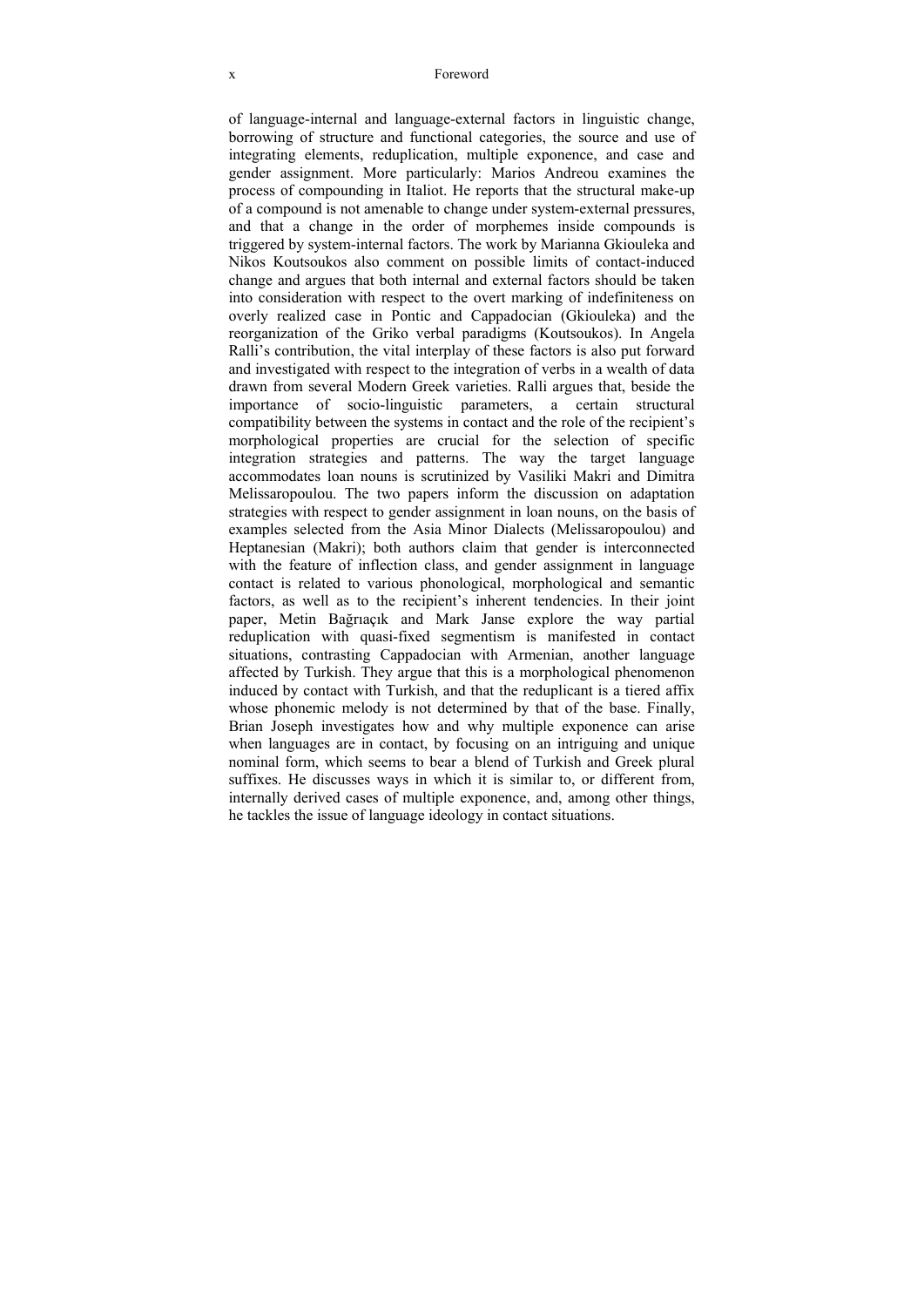#### x Foreword

of language-internal and language-external factors in linguistic change, borrowing of structure and functional categories, the source and use of integrating elements, reduplication, multiple exponence, and case and gender assignment. More particularly: Marios Andreou examines the process of compounding in Italiot. He reports that the structural make-up of a compound is not amenable to change under system-external pressures, and that a change in the order of morphemes inside compounds is triggered by system-internal factors. The work by Marianna Gkiouleka and Nikos Koutsoukos also comment on possible limits of contact-induced change and argues that both internal and external factors should be taken into consideration with respect to the overt marking of indefiniteness on overly realized case in Pontic and Cappadocian (Gkiouleka) and the reorganization of the Griko verbal paradigms (Koutsoukos). In Angela Ralli's contribution, the vital interplay of these factors is also put forward and investigated with respect to the integration of verbs in a wealth of data drawn from several Modern Greek varieties. Ralli argues that, beside the importance of socio-linguistic parameters, a certain structural compatibility between the systems in contact and the role of the recipient's morphological properties are crucial for the selection of specific integration strategies and patterns. The way the target language accommodates loan nouns is scrutinized by Vasiliki Makri and Dimitra Melissaropoulou. The two papers inform the discussion on adaptation strategies with respect to gender assignment in loan nouns, on the basis of examples selected from the Asia Minor Dialects (Melissaropoulou) and Heptanesian (Makri); both authors claim that gender is interconnected with the feature of inflection class, and gender assignment in language contact is related to various phonological, morphological and semantic factors, as well as to the recipient's inherent tendencies. In their joint paper, Metin Bağrıaçık and Mark Janse explore the way partial reduplication with quasi-fixed segmentism is manifested in contact situations, contrasting Cappadocian with Armenian, another language affected by Turkish. They argue that this is a morphological phenomenon induced by contact with Turkish, and that the reduplicant is a tiered affix whose phonemic melody is not determined by that of the base. Finally, Brian Joseph investigates how and why multiple exponence can arise when languages are in contact, by focusing on an intriguing and unique nominal form, which seems to bear a blend of Turkish and Greek plural suffixes. He discusses ways in which it is similar to, or different from, internally derived cases of multiple exponence, and, among other things, he tackles the issue of language ideology in contact situations.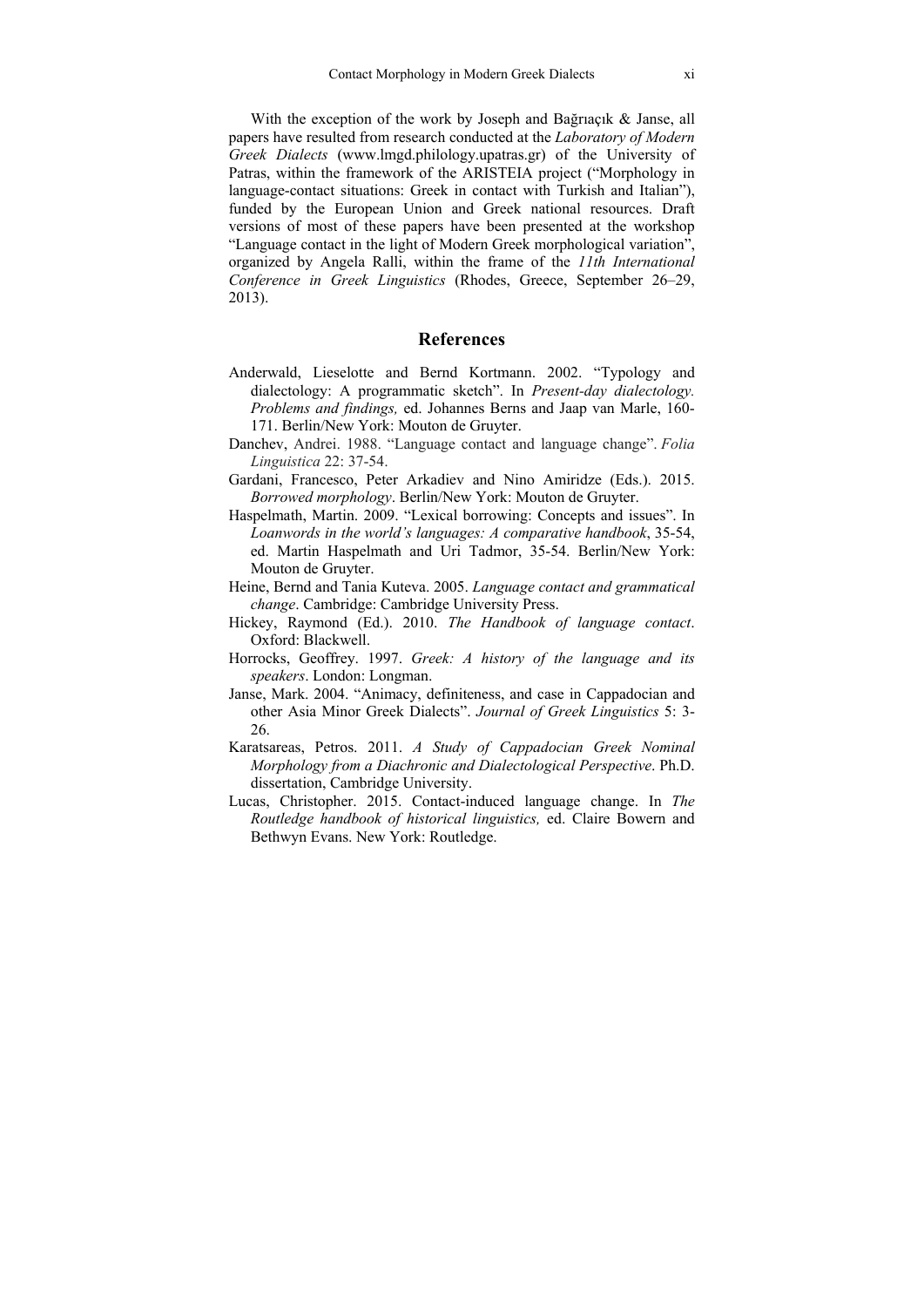With the exception of the work by Joseph and Bağrıaçık & Janse, all papers have resulted from research conducted at the *Laboratory of Modern Greek Dialects* (www.lmgd.philology.upatras.gr) of the University of Patras, within the framework of the ARISTEIA project ("Morphology in language-contact situations: Greek in contact with Turkish and Italian"), funded by the European Union and Greek national resources. Draft versions of most of these papers have been presented at the workshop "Language contact in the light of Modern Greek morphological variation", organized by Angela Ralli, within the frame of the *11th International Conference in Greek Linguistics* (Rhodes, Greece, September 26–29, 2013).

## **References**

- Anderwald, Lieselotte and Bernd Kortmann. 2002. "Typology and dialectology: A programmatic sketch". In *Present-day dialectology. Problems and findings,* ed. Johannes Berns and Jaap van Marle, 160- 171. Berlin/New York: Mouton de Gruyter.
- Danchev, Andrei. 1988. "Language contact and language change". *Folia Linguistica* 22: 37-54.
- Gardani, Francesco, Peter Arkadiev and Nino Amiridze (Eds.). 2015. *Borrowed morphology*. Berlin/New York: Mouton de Gruyter.
- Haspelmath, Martin. 2009. "Lexical borrowing: Concepts and issues". Ιn *Loanwords in the world's languages: A comparative handbook*, 35-54, ed. Martin Haspelmath and Uri Tadmor, 35-54. Berlin/New York: Mouton de Gruyter.
- Heine, Bernd and Tania Kuteva. 2005. *Language contact and grammatical change*. Cambridge: Cambridge University Press.
- Hickey, Raymond (Ed.). 2010. *The Handbook of language contact*. Oxford: Blackwell.
- Horrocks, Geoffrey. 1997. *Greek: A history of the language and its speakers*. London: Longman.
- Janse, Mark. 2004. "Animacy, definiteness, and case in Cappadocian and other Asia Minor Greek Dialects". *Journal of Greek Linguistics* 5: 3- 26.
- Karatsareas, Petros. 2011. *A Study of Cappadocian Greek Nominal Morphology from a Diachronic and Dialectological Perspective*. Ph.D. dissertation, Cambridge University.
- Lucas, Christopher. 2015. Contact-induced language change. In *The Routledge handbook of historical linguistics,* ed. Claire Bowern and Bethwyn Evans. New York: Routledge.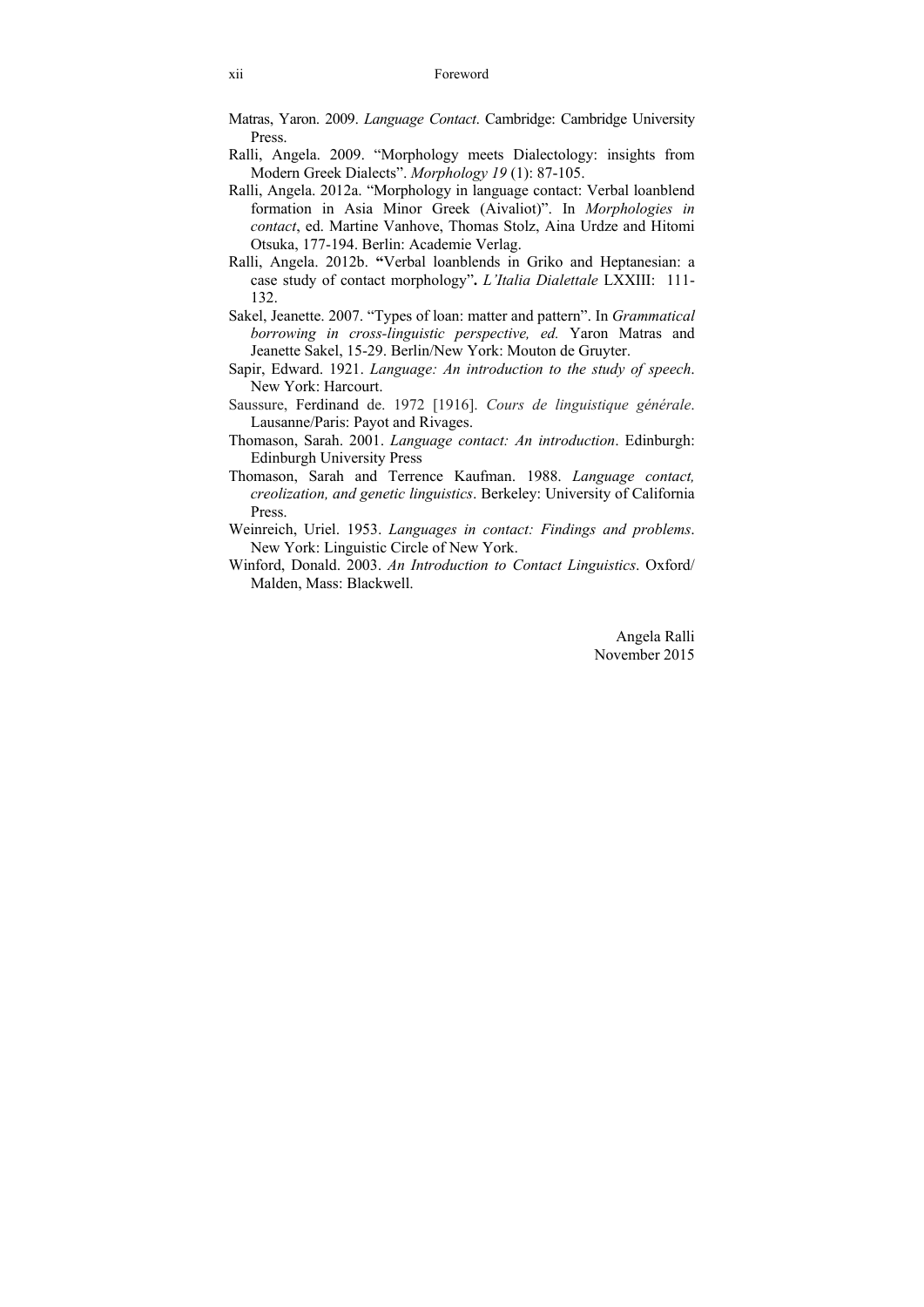- Matras, Yaron. 2009. *Language Contact*. Cambridge: Cambridge University Press.
- Ralli, Angela. 2009. "Morphology meets Dialectology: insights from Modern Greek Dialects". *Morphology 19* (1): 87-105.
- Ralli, Angela. 2012a. "Morphology in language contact: Verbal loanblend formation in Asia Minor Greek (Aivaliot)". In *Morphologies in contact*, ed. Martine Vanhove, Thomas Stolz, Aina Urdze and Hitomi Otsuka, 177-194. Berlin: Academie Verlag.
- Ralli, Angela. 2012b. **"**Verbal loanblends in Griko and Heptanesian: a case study of contact morphology"**.** *L'Italia Dialettale* LXXIII: 111- 132.
- Sakel, Jeanette. 2007. "Types of loan: matter and pattern". In *Grammatical borrowing in cross-linguistic perspective, ed.* Yaron Matras and Jeanette Sakel, 15-29. Berlin/New York: Mouton de Gruyter.
- Sapir, Edward. 1921. *Language: An introduction to the study of speech*. New York: Harcourt.
- Saussure, Ferdinand de. 1972 [1916]. *Cours de linguistique générale*. Lausanne/Paris: Payot and Rivages.
- Thomason, Sarah. 2001. *Language contact: An introduction*. Edinburgh: Edinburgh University Press
- Thomason, Sarah and Terrence Kaufman. 1988. *Language contact, creolization, and genetic linguistics*. Berkeley: University of California Press.
- Weinreich, Uriel. 1953. *Languages in contact: Findings and problems*. New York: Linguistic Circle of New York.
- Winford, Donald. 2003. *An Introduction to Contact Linguistics*. Oxford/ Malden, Mass: Blackwell.

Angela Ralli November 2015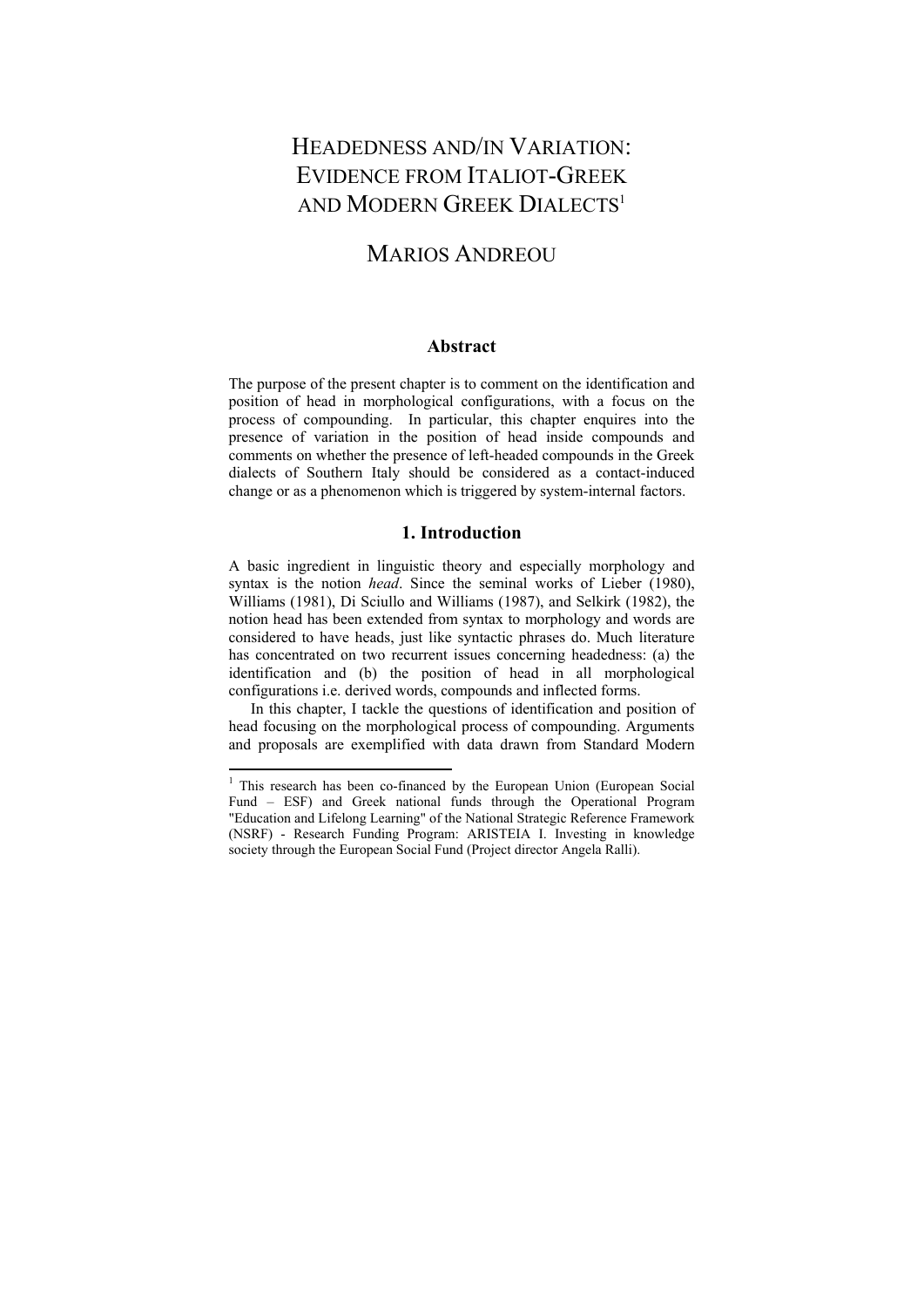# HEADEDNESS AND/IN VARIATION: EVIDENCE FROM ITALIOT-GREEK AND MODERN GREEK DIALECTS<sup>1</sup>

# **MARIOS ANDREOU**

### **Abstract**

The purpose of the present chapter is to comment on the identification and position of head in morphological configurations, with a focus on the process of compounding. In particular, this chapter enquires into the presence of variation in the position of head inside compounds and comments on whether the presence of left-headed compounds in the Greek dialects of Southern Italy should be considered as a contact-induced change or as a phenomenon which is triggered by system-internal factors.

# **1. Introduction**

A basic ingredient in linguistic theory and especially morphology and syntax is the notion *head*. Since the seminal works of Lieber (1980), Williams (1981), Di Sciullo and Williams (1987), and Selkirk (1982), the notion head has been extended from syntax to morphology and words are considered to have heads, just like syntactic phrases do. Much literature has concentrated on two recurrent issues concerning headedness: (a) the identification and (b) the position of head in all morphological configurations i.e. derived words, compounds and inflected forms.

 In this chapter, I tackle the questions of identification and position of head focusing on the morphological process of compounding. Arguments and proposals are exemplified with data drawn from Standard Modern

 $\ddot{\phantom{a}}$ 

<sup>&</sup>lt;sup>1</sup> This research has been co-financed by the European Union (European Social Fund – ESF) and Greek national funds through the Operational Program "Education and Lifelong Learning" of the National Strategic Reference Framework (NSRF) - Research Funding Program: ARISTEIA I. Investing in knowledge society through the European Social Fund (Project director Angela Ralli).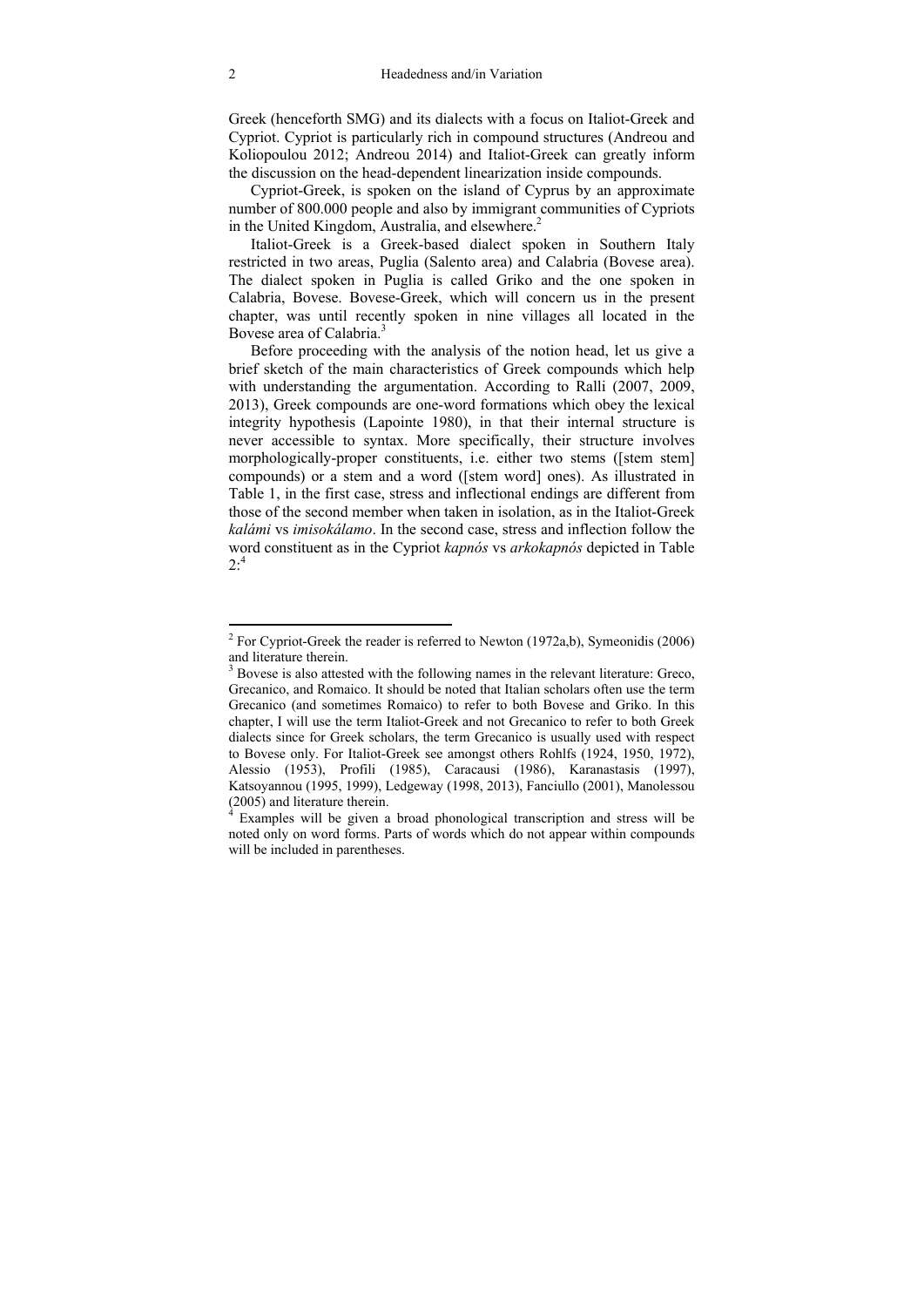Greek (henceforth SMG) and its dialects with a focus on Italiot-Greek and Cypriot. Cypriot is particularly rich in compound structures (Andreou and Koliopoulou 2012; Andreou 2014) and Italiot-Greek can greatly inform the discussion on the head-dependent linearization inside compounds.

 Cypriot-Greek, is spoken on the island of Cyprus by an approximate number of 800.000 people and also by immigrant communities of Cypriots in the United Kingdom, Australia, and elsewhere. $2$ 

 Italiot-Greek is a Greek-based dialect spoken in Southern Italy restricted in two areas, Puglia (Salento area) and Calabria (Bovese area). The dialect spoken in Puglia is called Griko and the one spoken in Calabria, Bovese. Bovese-Greek, which will concern us in the present chapter, was until recently spoken in nine villages all located in the Bovese area of Calabria.3

 Before proceeding with the analysis of the notion head, let us give a brief sketch of the main characteristics of Greek compounds which help with understanding the argumentation. According to Ralli (2007, 2009, 2013), Greek compounds are one-word formations which obey the lexical integrity hypothesis (Lapointe 1980), in that their internal structure is never accessible to syntax. More specifically, their structure involves morphologically-proper constituents, i.e. either two stems ([stem stem] compounds) or a stem and a word ([stem word] ones). As illustrated in Table 1, in the first case, stress and inflectional endings are different from those of the second member when taken in isolation, as in the Italiot-Greek *kalámi* vs *imisokálamo*. In the second case, stress and inflection follow the word constituent as in the Cypriot *kapnós* vs *arkokapnós* depicted in Table  $2^{.4}$ 

 $\ddot{\phantom{a}}$ 

<sup>&</sup>lt;sup>2</sup> For Cypriot-Greek the reader is referred to Newton (1972a,b), Symeonidis (2006) and literature therein.

<sup>&</sup>lt;sup>3</sup> Bovese is also attested with the following names in the relevant literature: Greco, Grecanico, and Romaico. It should be noted that Italian scholars often use the term Grecanico (and sometimes Romaico) to refer to both Bovese and Griko. In this chapter, I will use the term Italiot-Greek and not Grecanico to refer to both Greek dialects since for Greek scholars, the term Grecanico is usually used with respect to Bovese only. For Italiot-Greek see amongst others Rohlfs (1924, 1950, 1972), Alessio (1953), Profili (1985), Caracausi (1986), Karanastasis (1997), Katsoyannou (1995, 1999), Ledgeway (1998, 2013), Fanciullo (2001), Manolessou (2005) and literature therein.

<sup>&</sup>lt;sup>4</sup> Examples will be given a broad phonological transcription and stress will be noted only on word forms. Parts of words which do not appear within compounds will be included in parentheses.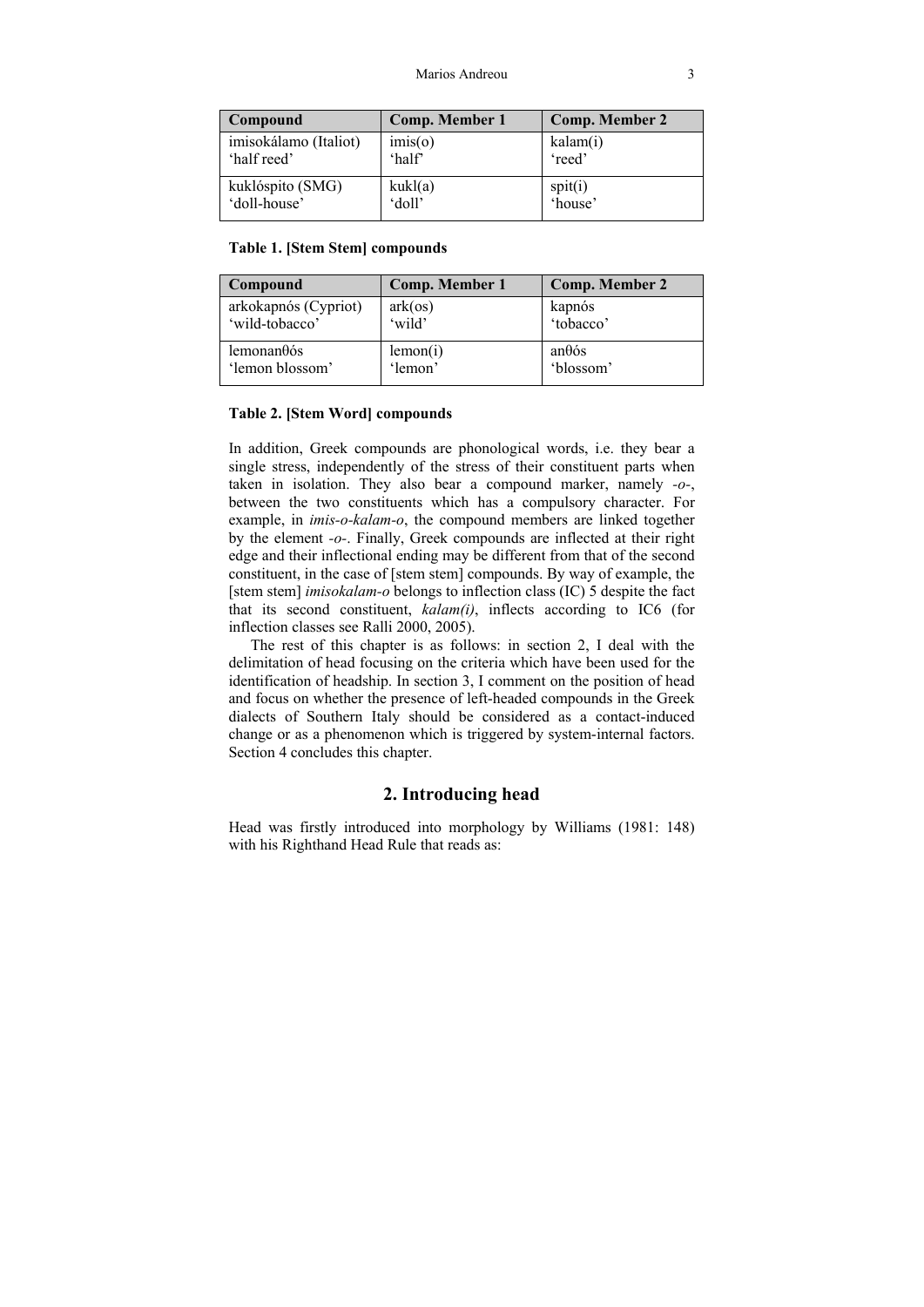| Compound                             | <b>Comp. Member 1</b> | <b>Comp. Member 2</b> |
|--------------------------------------|-----------------------|-----------------------|
| imisokálamo (Italiot)<br>'half reed' | imis(o)<br>'half      | kalam(i)<br>'reed'    |
| kuklóspito (SMG)<br>'doll-house'     | kukl(a)<br>'doll'     | spit(i)<br>'house'    |

#### **Table 1. [Stem Stem] compounds**

| Compound             | Comp. Member 1 | Comp. Member 2 |
|----------------------|----------------|----------------|
| arkokapnós (Cypriot) | $ark($ os $)$  | kapnós         |
| 'wild-tobacco'       | 'wild'         | 'tobacco'      |
| lemonan $\theta$ ós  | lemon(i)       | $an\theta$ ós  |
| 'lemon blossom'      | 'lemon'        | 'blossom'      |

#### **Table 2. [Stem Word] compounds**

In addition, Greek compounds are phonological words, i.e. they bear a single stress, independently of the stress of their constituent parts when taken in isolation. They also bear a compound marker, namely *-o-*, between the two constituents which has a compulsory character. For example, in *imis-o-kalam-o*, the compound members are linked together by the element *-o-*. Finally, Greek compounds are inflected at their right edge and their inflectional ending may be different from that of the second constituent, in the case of [stem stem] compounds. By way of example, the [stem stem] *imisokalam-o* belongs to inflection class (IC) 5 despite the fact that its second constituent, *kalam(i)*, inflects according to IC6 (for inflection classes see Ralli 2000, 2005).

 The rest of this chapter is as follows: in section 2, I deal with the delimitation of head focusing on the criteria which have been used for the identification of headship. In section 3, I comment on the position of head and focus on whether the presence of left-headed compounds in the Greek dialects of Southern Italy should be considered as a contact-induced change or as a phenomenon which is triggered by system-internal factors. Section 4 concludes this chapter.

# **2. Introducing head**

Head was firstly introduced into morphology by Williams (1981: 148) with his Righthand Head Rule that reads as: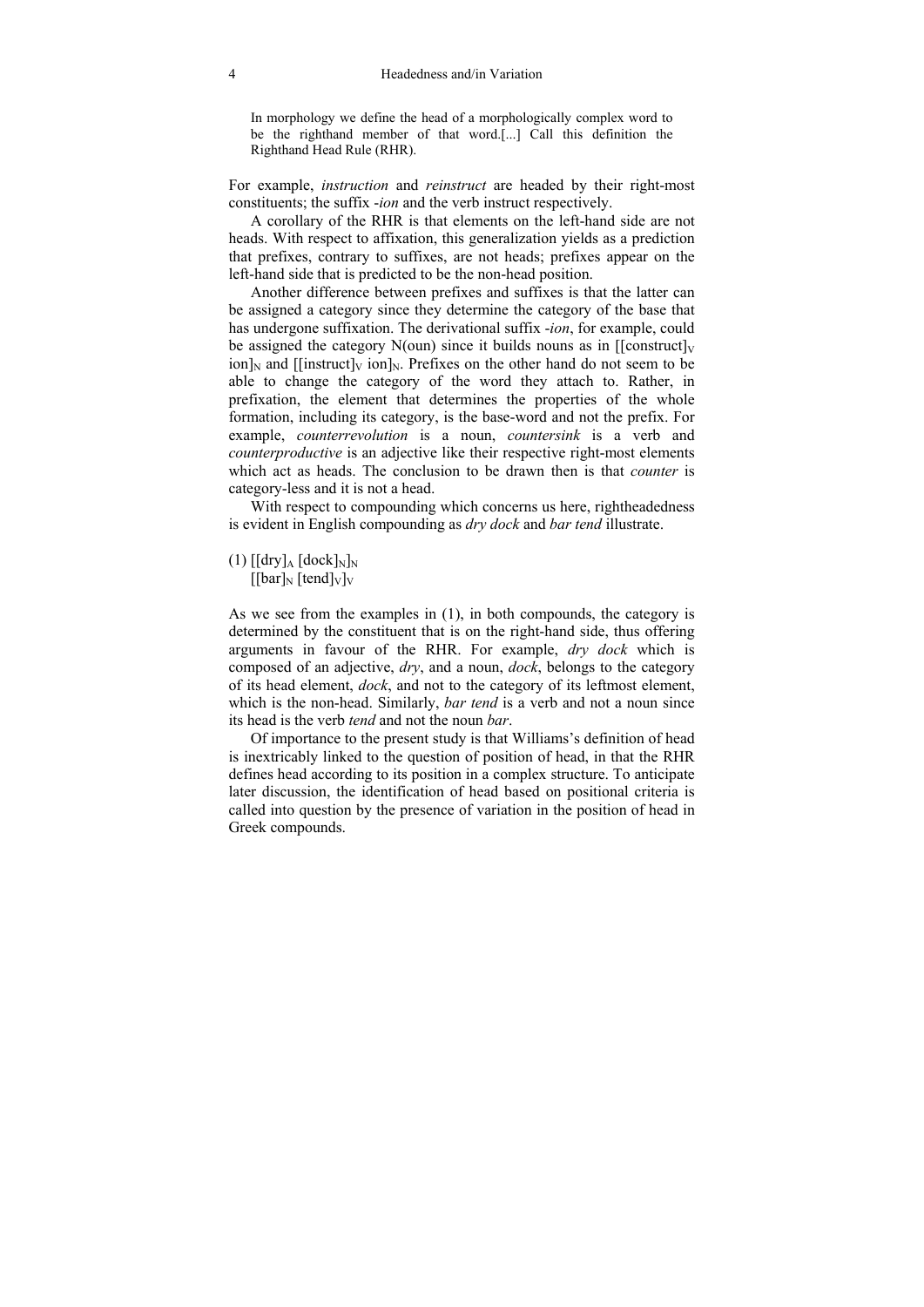In morphology we define the head of a morphologically complex word to be the righthand member of that word.[...] Call this definition the Righthand Head Rule (RHR).

For example, *instruction* and *reinstruct* are headed by their right-most constituents; the suffix -*ion* and the verb instruct respectively.

 A corollary of the RHR is that elements on the left-hand side are not heads. With respect to affixation, this generalization yields as a prediction that prefixes, contrary to suffixes, are not heads; prefixes appear on the left-hand side that is predicted to be the non-head position.

 Another difference between prefixes and suffixes is that the latter can be assigned a category since they determine the category of the base that has undergone suffixation. The derivational suffix -*ion*, for example, could be assigned the category  $N(oun)$  since it builds nouns as in [[construct] $V$  $\lim_{N \to \infty}$  and [[instruct]<sub>V</sub> ion]<sub>N</sub>. Prefixes on the other hand do not seem to be able to change the category of the word they attach to. Rather, in prefixation, the element that determines the properties of the whole formation, including its category, is the base-word and not the prefix. For example, *counterrevolution* is a noun, *countersink* is a verb and *counterproductive* is an adjective like their respective right-most elements which act as heads. The conclusion to be drawn then is that *counter* is category-less and it is not a head.

 With respect to compounding which concerns us here, rightheadedness is evident in English compounding as *dry dock* and *bar tend* illustrate.

 $(1)$   $\left[\frac{\text{dry}}{\text{A}} \left[\text{deck}\right]_{N}\right]_{N}$  $[[bar]_N$  [tend]<sub>V</sub>]<sub>V</sub>

As we see from the examples in (1), in both compounds, the category is determined by the constituent that is on the right-hand side, thus offering arguments in favour of the RHR. For example, *dry dock* which is composed of an adjective, *dry*, and a noun, *dock*, belongs to the category of its head element, *dock*, and not to the category of its leftmost element, which is the non-head. Similarly, *bar tend* is a verb and not a noun since its head is the verb *tend* and not the noun *bar*.

 Of importance to the present study is that Williams's definition of head is inextricably linked to the question of position of head, in that the RHR defines head according to its position in a complex structure. To anticipate later discussion, the identification of head based on positional criteria is called into question by the presence of variation in the position of head in Greek compounds.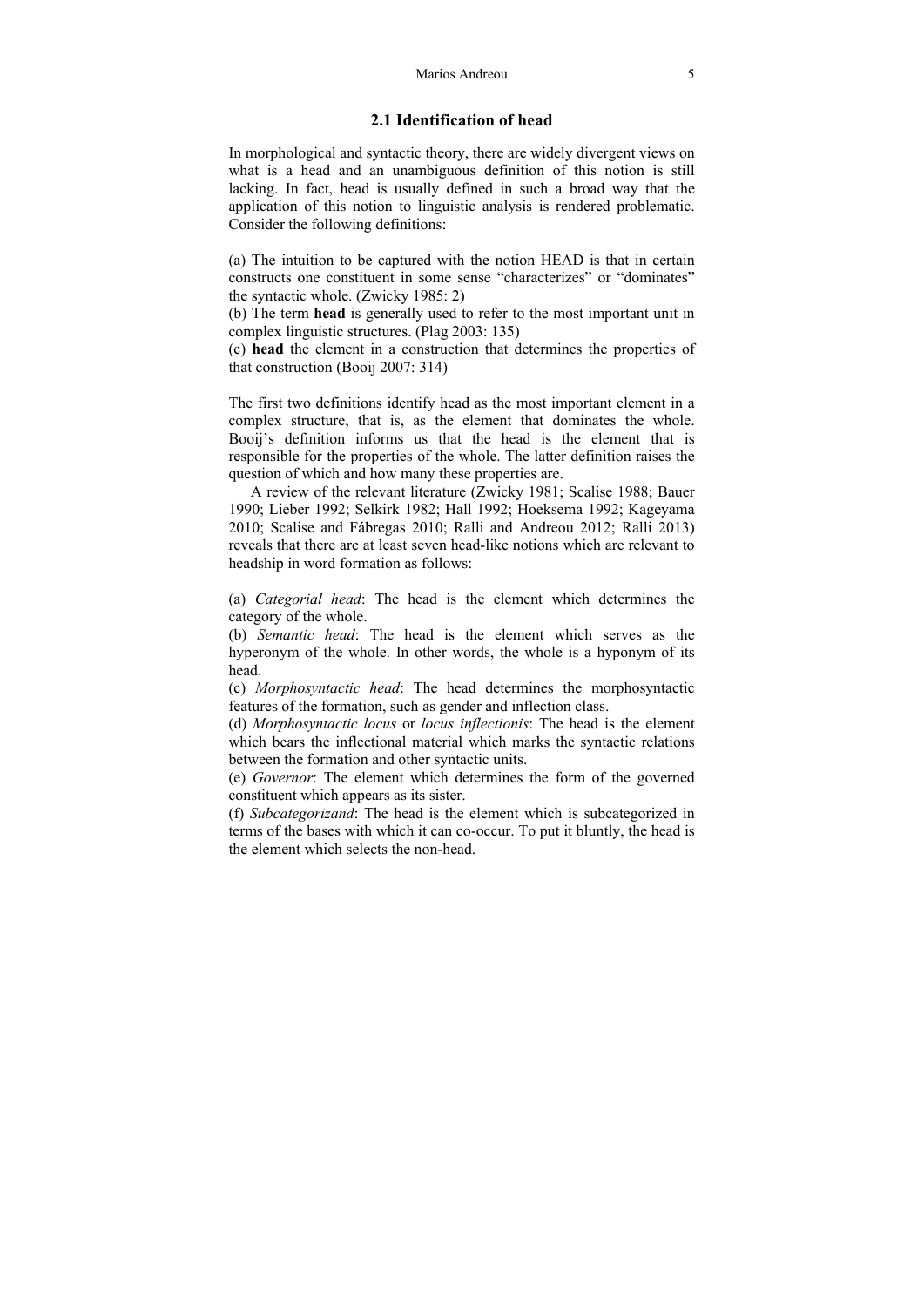# **2.1 Identification of head**

In morphological and syntactic theory, there are widely divergent views on what is a head and an unambiguous definition of this notion is still lacking. In fact, head is usually defined in such a broad way that the application of this notion to linguistic analysis is rendered problematic. Consider the following definitions:

(a) The intuition to be captured with the notion HEAD is that in certain constructs one constituent in some sense "characterizes" or "dominates" the syntactic whole. (Zwicky 1985: 2)

(b) The term **head** is generally used to refer to the most important unit in complex linguistic structures. (Plag 2003: 135)

(c) **head** the element in a construction that determines the properties of that construction (Booij 2007: 314)

The first two definitions identify head as the most important element in a complex structure, that is, as the element that dominates the whole. Booij's definition informs us that the head is the element that is responsible for the properties of the whole. The latter definition raises the question of which and how many these properties are.

 A review of the relevant literature (Zwicky 1981; Scalise 1988; Bauer 1990; Lieber 1992; Selkirk 1982; Hall 1992; Hoeksema 1992; Kageyama 2010; Scalise and Fábregas 2010; Ralli and Andreou 2012; Ralli 2013) reveals that there are at least seven head-like notions which are relevant to headship in word formation as follows:

(a) *Categorial head*: The head is the element which determines the category of the whole.

(b) *Semantic head*: The head is the element which serves as the hyperonym of the whole. In other words, the whole is a hyponym of its head.

(c) *Morphosyntactic head*: The head determines the morphosyntactic features of the formation, such as gender and inflection class.

(d) *Morphosyntactic locus* or *locus inflectionis*: The head is the element which bears the inflectional material which marks the syntactic relations between the formation and other syntactic units.

(e) *Governor*: The element which determines the form of the governed constituent which appears as its sister.

(f) *Subcategorizand*: The head is the element which is subcategorized in terms of the bases with which it can co-occur. To put it bluntly, the head is the element which selects the non-head.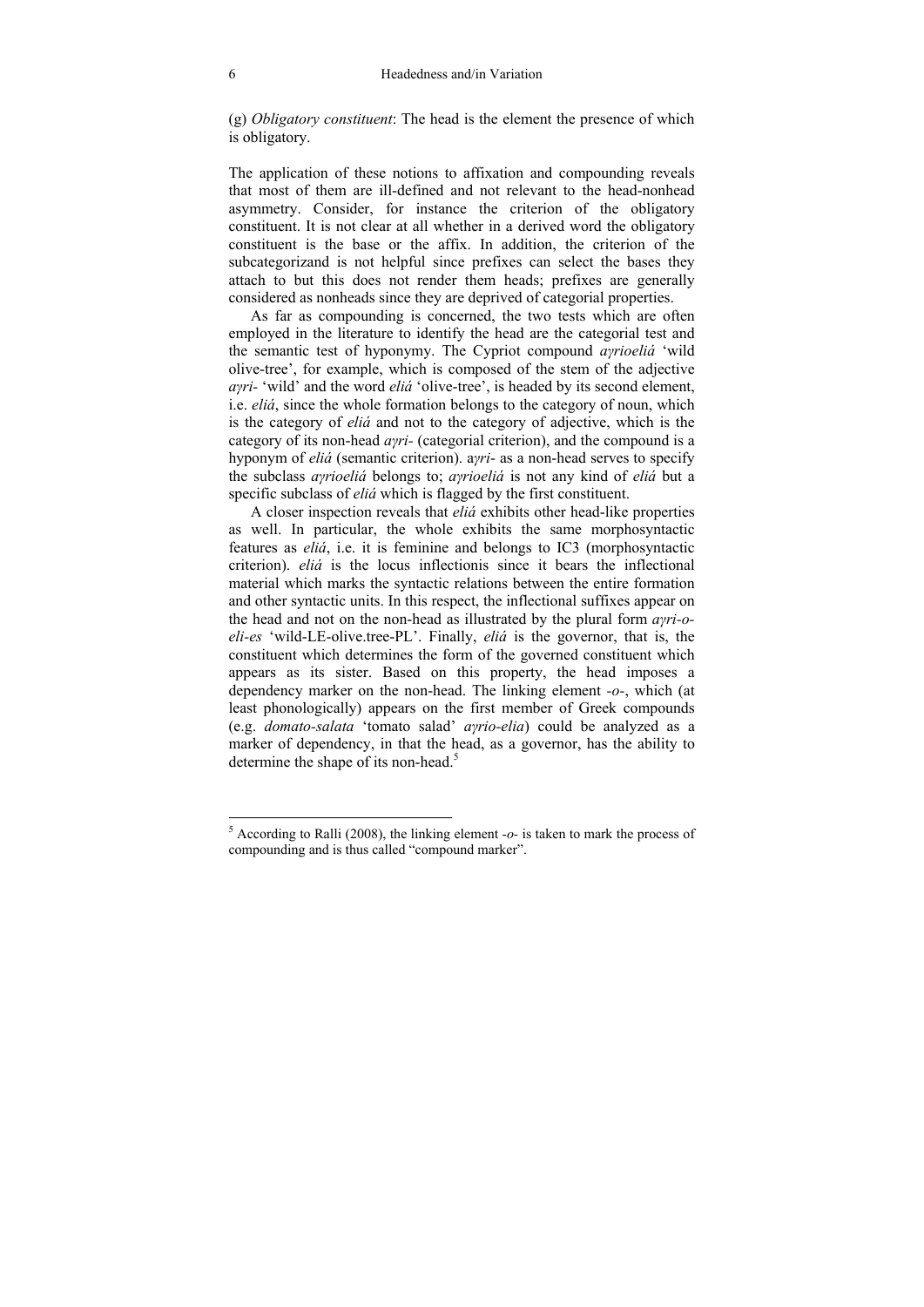(g) *Obligatory constituent*: The head is the element the presence of which is obligatory.

The application of these notions to affixation and compounding reveals that most of them are ill-defined and not relevant to the head-nonhead asymmetry. Consider, for instance the criterion of the obligatory constituent. It is not clear at all whether in a derived word the obligatory constituent is the base or the affix. In addition, the criterion of the subcategorizand is not helpful since prefixes can select the bases they attach to but this does not render them heads; prefixes are generally considered as nonheads since they are deprived of categorial properties.

 As far as compounding is concerned, the two tests which are often employed in the literature to identify the head are the categorial test and the semantic test of hyponymy. The Cypriot compound *aγrioeliá* 'wild olive-tree', for example, which is composed of the stem of the adjective *aγri*- 'wild' and the word *eliá* 'olive-tree', is headed by its second element, i.e. *eliá*, since the whole formation belongs to the category of noun, which is the category of *eliá* and not to the category of adjective, which is the category of its non-head *aγri-* (categorial criterion), and the compound is a hyponym of *eliá* (semantic criterion). a*γri*- as a non-head serves to specify the subclass *aγrioeliá* belongs to; *aγrioeliá* is not any kind of *eliá* but a specific subclass of *eliá* which is flagged by the first constituent.

 A closer inspection reveals that *eliá* exhibits other head-like properties as well. In particular, the whole exhibits the same morphosyntactic features as *eliá*, i.e. it is feminine and belongs to IC3 (morphosyntactic criterion). *eliá* is the locus inflectionis since it bears the inflectional material which marks the syntactic relations between the entire formation and other syntactic units. In this respect, the inflectional suffixes appear on the head and not on the non-head as illustrated by the plural form *aγri-oeli-es* 'wild-LE-olive.tree-PL'. Finally, *eliá* is the governor, that is, the constituent which determines the form of the governed constituent which appears as its sister. Based on this property, the head imposes a dependency marker on the non-head. The linking element *-o-*, which (at least phonologically) appears on the first member of Greek compounds (e.g. *domato-salata* 'tomato salad' *aγrio-elia*) could be analyzed as a marker of dependency, in that the head, as a governor, has the ability to determine the shape of its non-head.<sup>5</sup>

 5 According to Ralli (2008), the linking element *-o-* is taken to mark the process of compounding and is thus called "compound marker".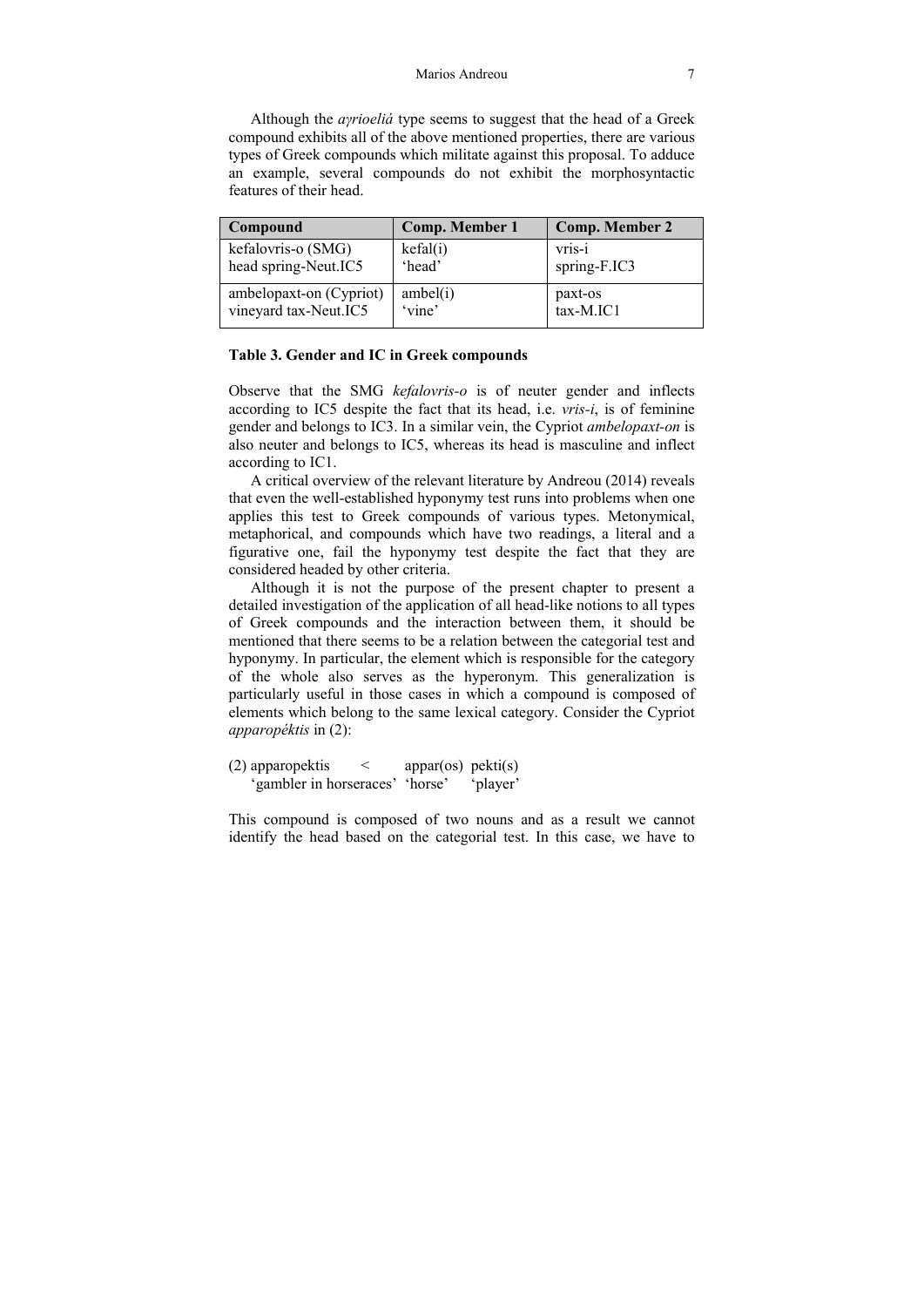Although the *aγrioeliá* type seems to suggest that the head of a Greek compound exhibits all of the above mentioned properties, there are various types of Greek compounds which militate against this proposal. To adduce an example, several compounds do not exhibit the morphosyntactic features of their head.

| Compound                | Comp. Member 1 | Comp. Member 2 |
|-------------------------|----------------|----------------|
| kefalovris-o (SMG)      | kefal(i)       | vris-i         |
| head spring-Neut.IC5    | 'head'         | spring-F.IC3   |
| ambelopaxt-on (Cypriot) | ambel(i)       | paxt-os        |
| vineyard tax-Neut.IC5   | 'vine'         | tax-M.IC1      |

#### **Table 3. Gender and IC in Greek compounds**

Observe that the SMG *kefalovris-o* is of neuter gender and inflects according to IC5 despite the fact that its head, i.e. *vris-i*, is of feminine gender and belongs to IC3. In a similar vein, the Cypriot *ambelopaxt-on* is also neuter and belongs to IC5, whereas its head is masculine and inflect according to IC1.

A critical overview of the relevant literature by Andreou (2014) reveals that even the well-established hyponymy test runs into problems when one applies this test to Greek compounds of various types. Metonymical, metaphorical, and compounds which have two readings, a literal and a figurative one, fail the hyponymy test despite the fact that they are considered headed by other criteria.

 Although it is not the purpose of the present chapter to present a detailed investigation of the application of all head-like notions to all types of Greek compounds and the interaction between them, it should be mentioned that there seems to be a relation between the categorial test and hyponymy. In particular, the element which is responsible for the category of the whole also serves as the hyperonym. This generalization is particularly useful in those cases in which a compound is composed of elements which belong to the same lexical category. Consider the Cypriot *apparopéktis* in (2):

(2) apparopektis  $\langle$  appar(os) pekti(s) 'gambler in horseraces' 'horse' 'player'

This compound is composed of two nouns and as a result we cannot identify the head based on the categorial test. In this case, we have to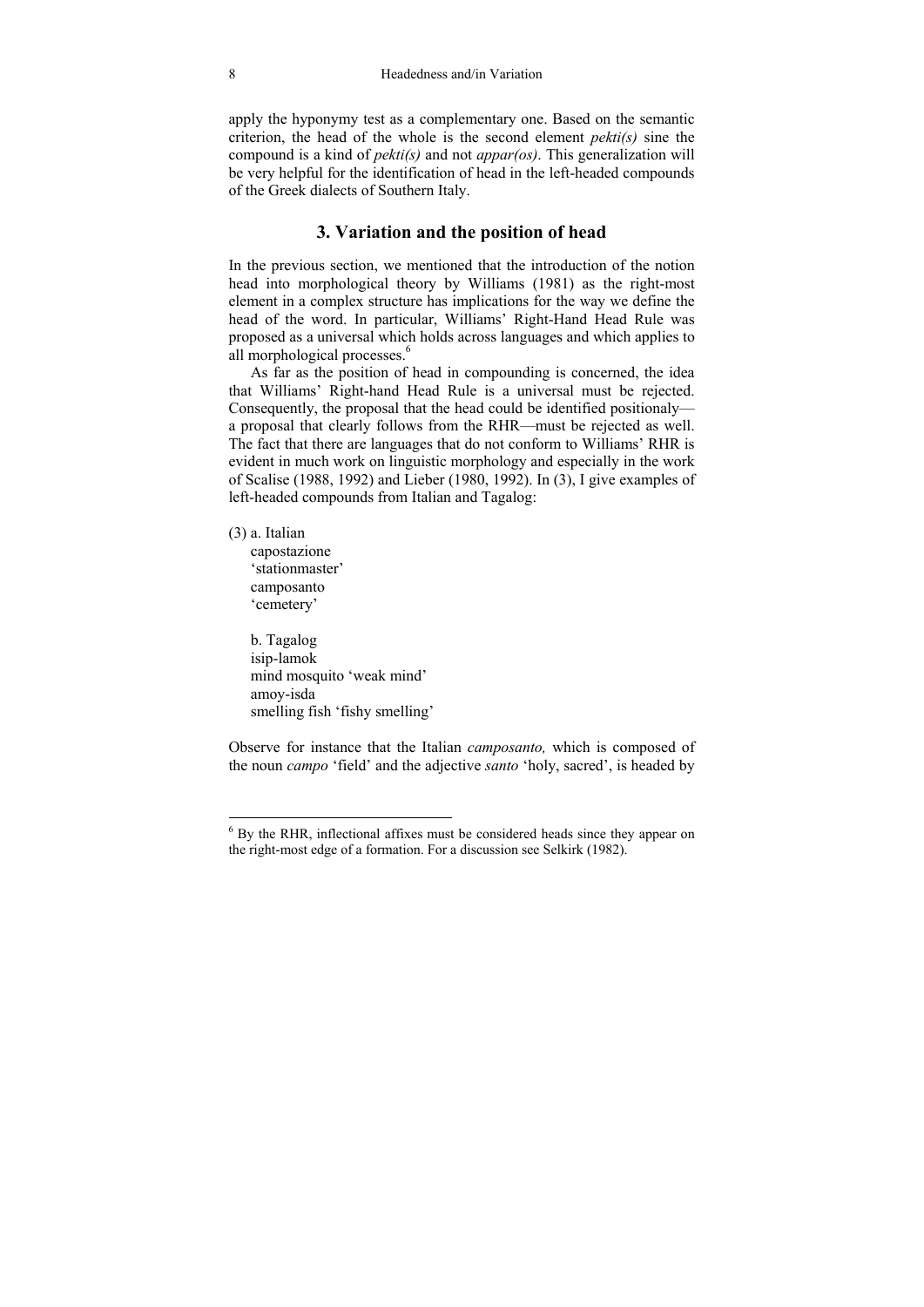apply the hyponymy test as a complementary one. Based on the semantic criterion, the head of the whole is the second element *pekti(s)* sine the compound is a kind of *pekti(s)* and not *appar(os)*. This generalization will be very helpful for the identification of head in the left-headed compounds of the Greek dialects of Southern Italy.

# **3. Variation and the position of head**

In the previous section, we mentioned that the introduction of the notion head into morphological theory by Williams (1981) as the right-most element in a complex structure has implications for the way we define the head of the word. In particular, Williams' Right-Hand Head Rule was proposed as a universal which holds across languages and which applies to all morphological processes.<sup>6</sup>

 As far as the position of head in compounding is concerned, the idea that Williams' Right-hand Head Rule is a universal must be rejected. Consequently, the proposal that the head could be identified positionaly a proposal that clearly follows from the RHR—must be rejected as well. The fact that there are languages that do not conform to Williams' RHR is evident in much work on linguistic morphology and especially in the work of Scalise (1988, 1992) and Lieber (1980, 1992). In (3), I give examples of left-headed compounds from Italian and Tagalog:

(3) a. Italian

 $\overline{a}$ 

capostazione 'stationmaster' camposanto 'cemetery'

 b. Tagalog isip-lamok mind mosquito 'weak mind' amoy-isda smelling fish 'fishy smelling'

Observe for instance that the Italian *camposanto,* which is composed of the noun *campo* 'field' and the adjective *santo* 'holy, sacred', is headed by

<sup>&</sup>lt;sup>6</sup> By the RHR, inflectional affixes must be considered heads since they appear on the right-most edge of a formation. For a discussion see Selkirk (1982).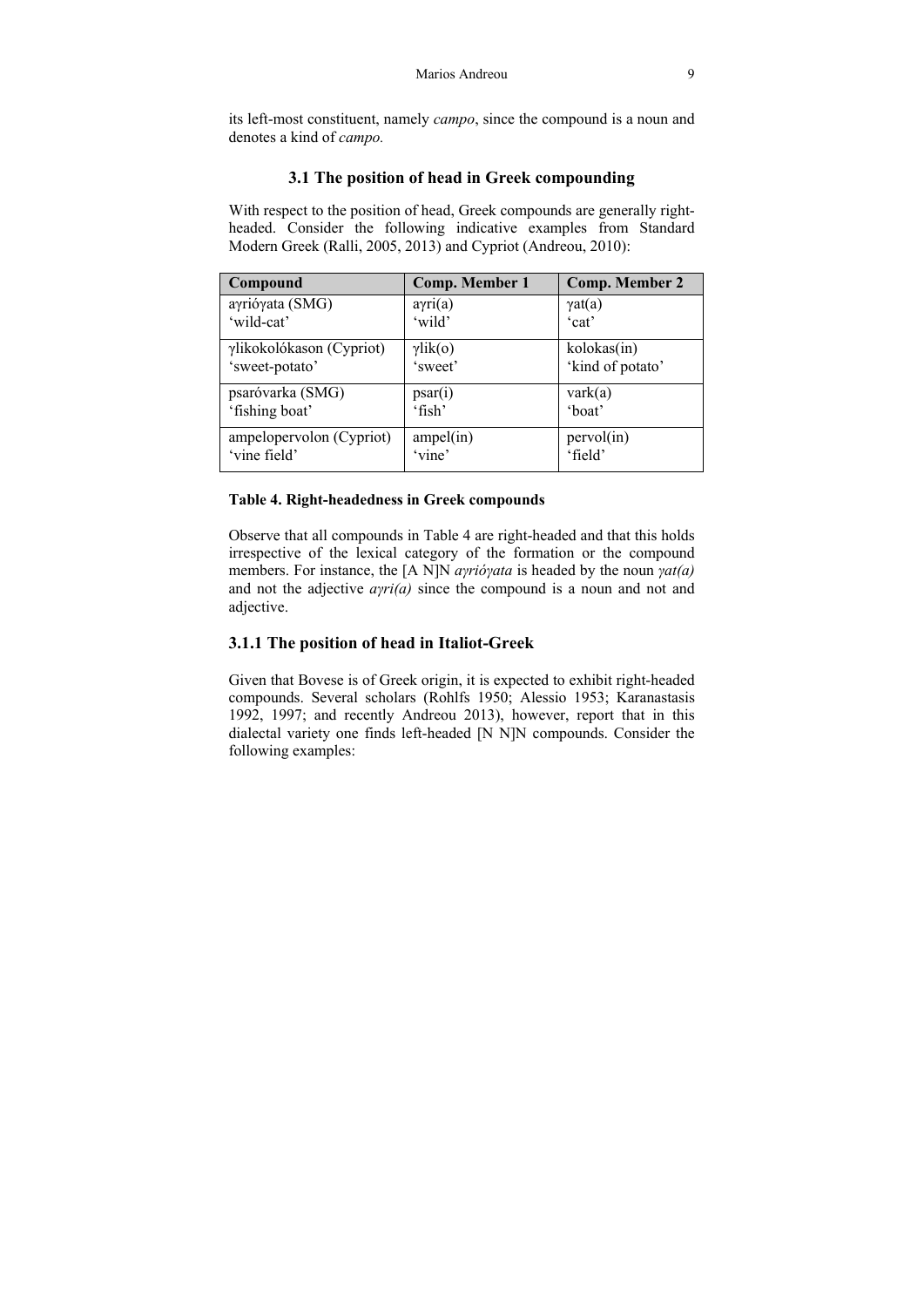its left-most constituent, namely *campo*, since the compound is a noun and denotes a kind of *campo.* 

# **3.1 The position of head in Greek compounding**

With respect to the position of head, Greek compounds are generally rightheaded. Consider the following indicative examples from Standard Modern Greek (Ralli, 2005, 2013) and Cypriot (Andreou, 2010):

| Compound                 | <b>Comp. Member 1</b> | <b>Comp. Member 2</b> |
|--------------------------|-----------------------|-----------------------|
| aγrióγata (SMG)          | $a\gamma$ ri(a)       | $\gamma$ at(a)        |
| 'wild-cat'               | 'wild                 | 'cat'                 |
| γlikokolókason (Cypriot) | $\gamma$ lik(o)       | kolokas(in)           |
| 'sweet-potato'           | 'sweet'               | 'kind of potato'      |
| psaróvarka (SMG)         | psar(i)               | $\text{vark}(a)$      |
| 'fishing boat'           | $^{\circ}$ fish'      | 'boat'                |
| ampelopervolon (Cypriot) | ampel(in)             | pervol(in)            |
| 'vine field'             | 'vine'                | 'field'               |

## **Table 4. Right-headedness in Greek compounds**

Observe that all compounds in Table 4 are right-headed and that this holds irrespective of the lexical category of the formation or the compound members. For instance, the [A N]N *aγrióγata* is headed by the noun *γat(a)* and not the adjective *aγri(a)* since the compound is a noun and not and adjective.

# **3.1.1 The position of head in Italiot-Greek**

Given that Bovese is of Greek origin, it is expected to exhibit right-headed compounds. Several scholars (Rohlfs 1950; Alessio 1953; Karanastasis 1992, 1997; and recently Andreou 2013), however, report that in this dialectal variety one finds left-headed [N N]N compounds. Consider the following examples: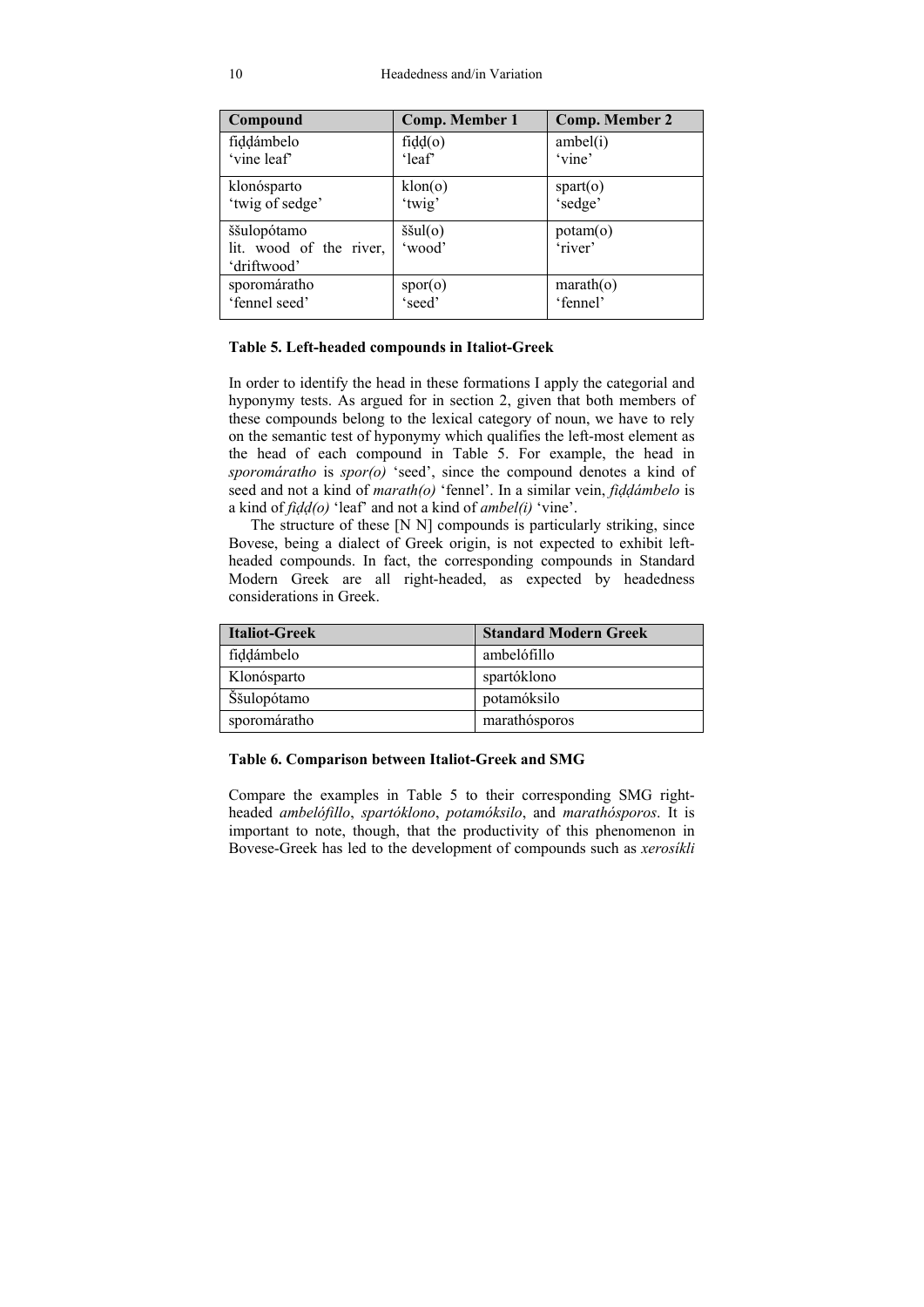| Compound                | Comp. Member 1            | <b>Comp. Member 2</b>    |
|-------------------------|---------------------------|--------------------------|
| fiddámbelo              | $\text{fid}(\text{o})$    | ambel(i)                 |
| 'vine leaf'             | 'leaf                     | 'vine'                   |
| klonósparto             | klon(o)                   | sqrt(o)                  |
| 'twig of sedge'         | 'twig'                    | 'sedge'                  |
| ššulopótamo             | $\check{\text{small}}(o)$ | potam(o)                 |
| lit. wood of the river, | 'wood'                    | 'river'                  |
| 'driftwood'             |                           |                          |
| sporomáratho            | $\text{spor}(\text{o})$   | $\text{marah}(\text{o})$ |
| 'fennel seed'           | 'seed'                    | 'fennel'                 |

#### **Table 5. Left-headed compounds in Italiot-Greek**

In order to identify the head in these formations Ι apply the categorial and hyponymy tests. As argued for in section 2, given that both members of these compounds belong to the lexical category of noun, we have to rely on the semantic test of hyponymy which qualifies the left-most element as the head of each compound in Table 5. For example, the head in *sporomáratho* is *spor(o)* 'seed', since the compound denotes a kind of seed and not a kind of *marath(o)* 'fennel'. In a similar vein, *fiḍḍámbelo* is a kind of *fiḍḍ(o)* 'leaf' and not a kind of *ambel(i)* 'vine'.

 The structure of these [N N] compounds is particularly striking, since Bovese, being a dialect of Greek origin, is not expected to exhibit leftheaded compounds. In fact, the corresponding compounds in Standard Modern Greek are all right-headed, as expected by headedness considerations in Greek.

| <b>Italiot-Greek</b> | <b>Standard Modern Greek</b> |
|----------------------|------------------------------|
| fiddámbelo           | ambelófillo                  |
| Klonósparto          | spartóklono                  |
| Ššulopótamo          | potamóksilo                  |
| sporomáratho         | marathósporos                |

#### **Table 6. Comparison between Italiot-Greek and SMG**

Compare the examples in Table 5 to their corresponding SMG rightheaded *ambelófillo*, *spartóklono*, *potamóksilo*, and *marathósporos*. It is important to note, though, that the productivity of this phenomenon in Bovese-Greek has led to the development of compounds such as *xerosíkli*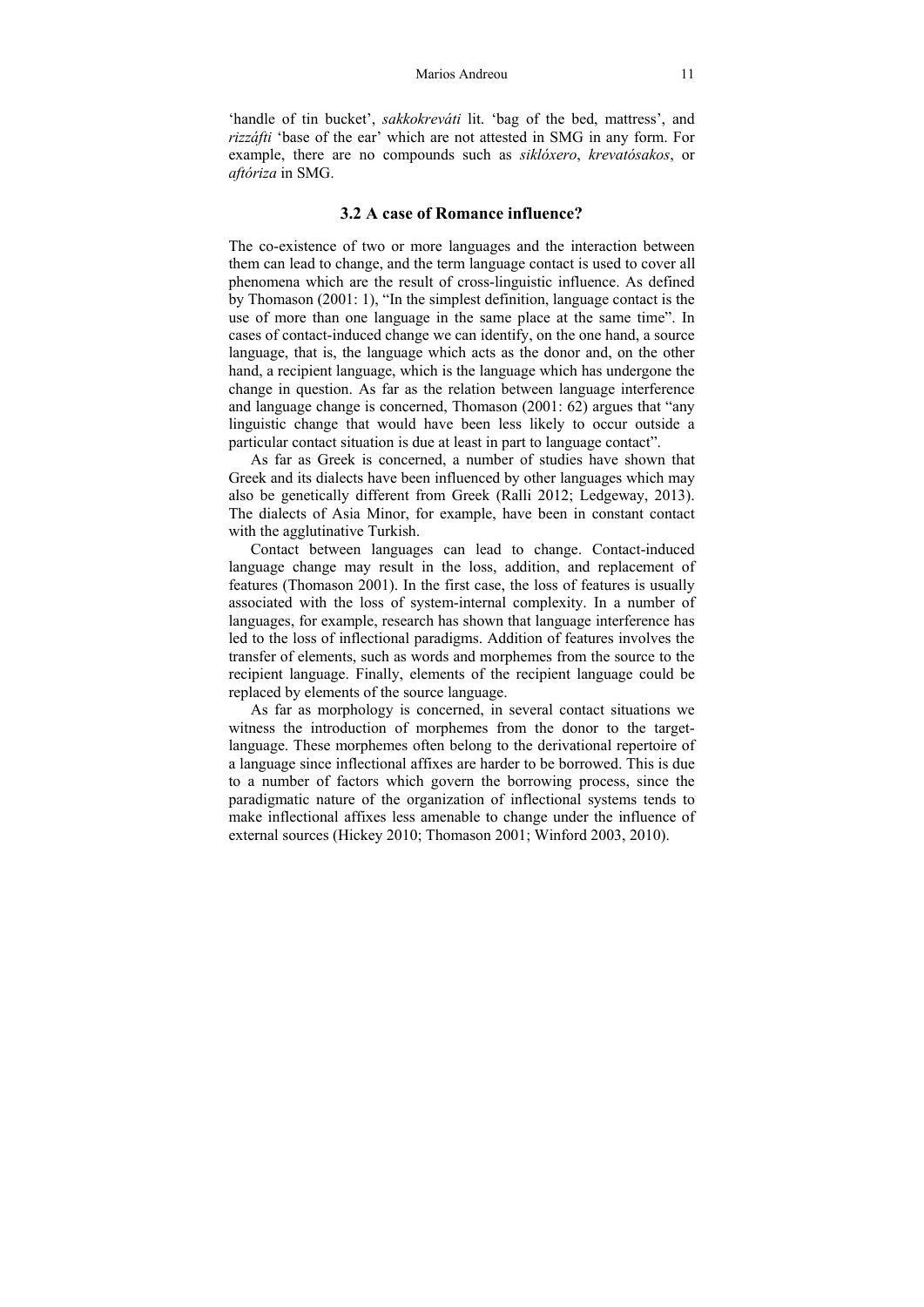#### Marios Andreou 11

'handle of tin bucket', *sakkokreváti* lit. 'bag of the bed, mattress', and *rizzáfti* 'base of the ear' which are not attested in SMG in any form. For example, there are no compounds such as *siklóxero*, *krevatósakos*, or *aftóriza* in SMG.

#### **3.2 A case of Romance influence?**

The co-existence of two or more languages and the interaction between them can lead to change, and the term language contact is used to cover all phenomena which are the result of cross-linguistic influence. As defined by Thomason (2001: 1), "In the simplest definition, language contact is the use of more than one language in the same place at the same time". In cases of contact-induced change we can identify, on the one hand, a source language, that is, the language which acts as the donor and, on the other hand, a recipient language, which is the language which has undergone the change in question. As far as the relation between language interference and language change is concerned, Thomason (2001: 62) argues that "any linguistic change that would have been less likely to occur outside a particular contact situation is due at least in part to language contact".

 As far as Greek is concerned, a number of studies have shown that Greek and its dialects have been influenced by other languages which may also be genetically different from Greek (Ralli 2012; Ledgeway, 2013). The dialects of Asia Minor, for example, have been in constant contact with the agglutinative Turkish.

 Contact between languages can lead to change. Contact-induced language change may result in the loss, addition, and replacement of features (Thomason 2001). In the first case, the loss of features is usually associated with the loss of system-internal complexity. In a number of languages, for example, research has shown that language interference has led to the loss of inflectional paradigms. Addition of features involves the transfer of elements, such as words and morphemes from the source to the recipient language. Finally, elements of the recipient language could be replaced by elements of the source language.

 As far as morphology is concerned, in several contact situations we witness the introduction of morphemes from the donor to the targetlanguage. These morphemes often belong to the derivational repertoire of a language since inflectional affixes are harder to be borrowed. This is due to a number of factors which govern the borrowing process, since the paradigmatic nature of the organization of inflectional systems tends to make inflectional affixes less amenable to change under the influence of external sources (Hickey 2010; Thomason 2001; Winford 2003, 2010).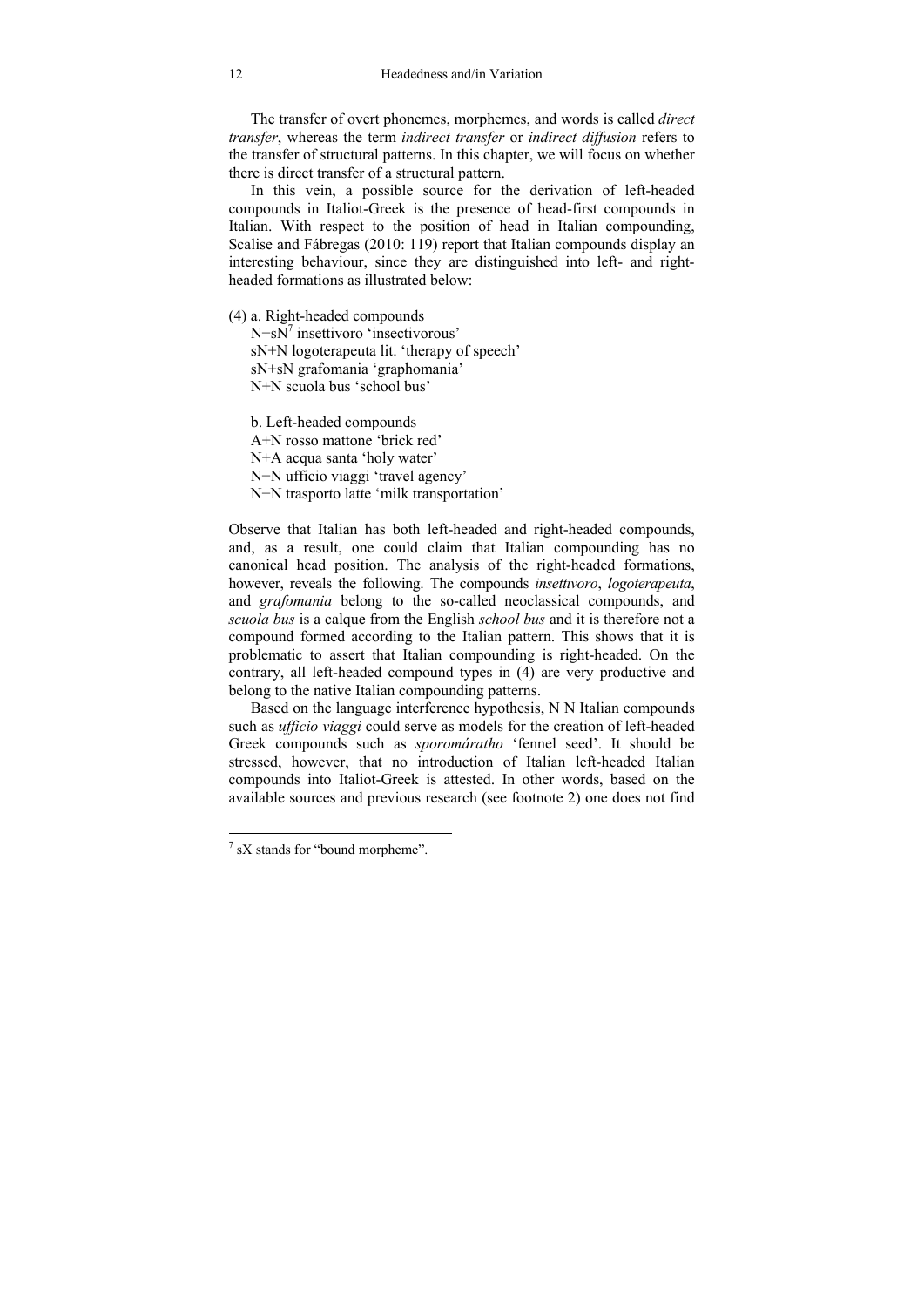The transfer of overt phonemes, morphemes, and words is called *direct transfer*, whereas the term *indirect transfer* or *indirect diffusion* refers to the transfer of structural patterns. In this chapter, we will focus on whether there is direct transfer of a structural pattern.

 In this vein, a possible source for the derivation of left-headed compounds in Italiot-Greek is the presence of head-first compounds in Italian. With respect to the position of head in Italian compounding, Scalise and Fábregas (2010: 119) report that Italian compounds display an interesting behaviour, since they are distinguished into left- and rightheaded formations as illustrated below:

(4) a. Right-headed compounds

N+sN<sup>7</sup> insettivoro 'insectivorous' sN+N logoterapeuta lit. 'therapy of speech' sN+sN grafomania 'graphomania' N+N scuola bus 'school bus'

 b. Left-headed compounds A+N rosso mattone 'brick red' N+A acqua santa 'holy water' N+N ufficio viaggi 'travel agency' N+N trasporto latte 'milk transportation'

Observe that Italian has both left-headed and right-headed compounds, and, as a result, one could claim that Italian compounding has no canonical head position. The analysis of the right-headed formations, however, reveals the following. The compounds *insettivoro*, *logoterapeuta*, and *grafomania* belong to the so-called neoclassical compounds, and *scuola bus* is a calque from the English *school bus* and it is therefore not a compound formed according to the Italian pattern. This shows that it is problematic to assert that Italian compounding is right-headed. On the contrary, all left-headed compound types in (4) are very productive and belong to the native Italian compounding patterns.

 Based on the language interference hypothesis, N N Italian compounds such as *ufficio viaggi* could serve as models for the creation of left-headed Greek compounds such as *sporomáratho* 'fennel seed'. It should be stressed, however, that no introduction of Italian left-headed Italian compounds into Italiot-Greek is attested. In other words, based on the available sources and previous research (see footnote 2) one does not find

 $\frac{7}{1}$  sX stands for "bound morpheme".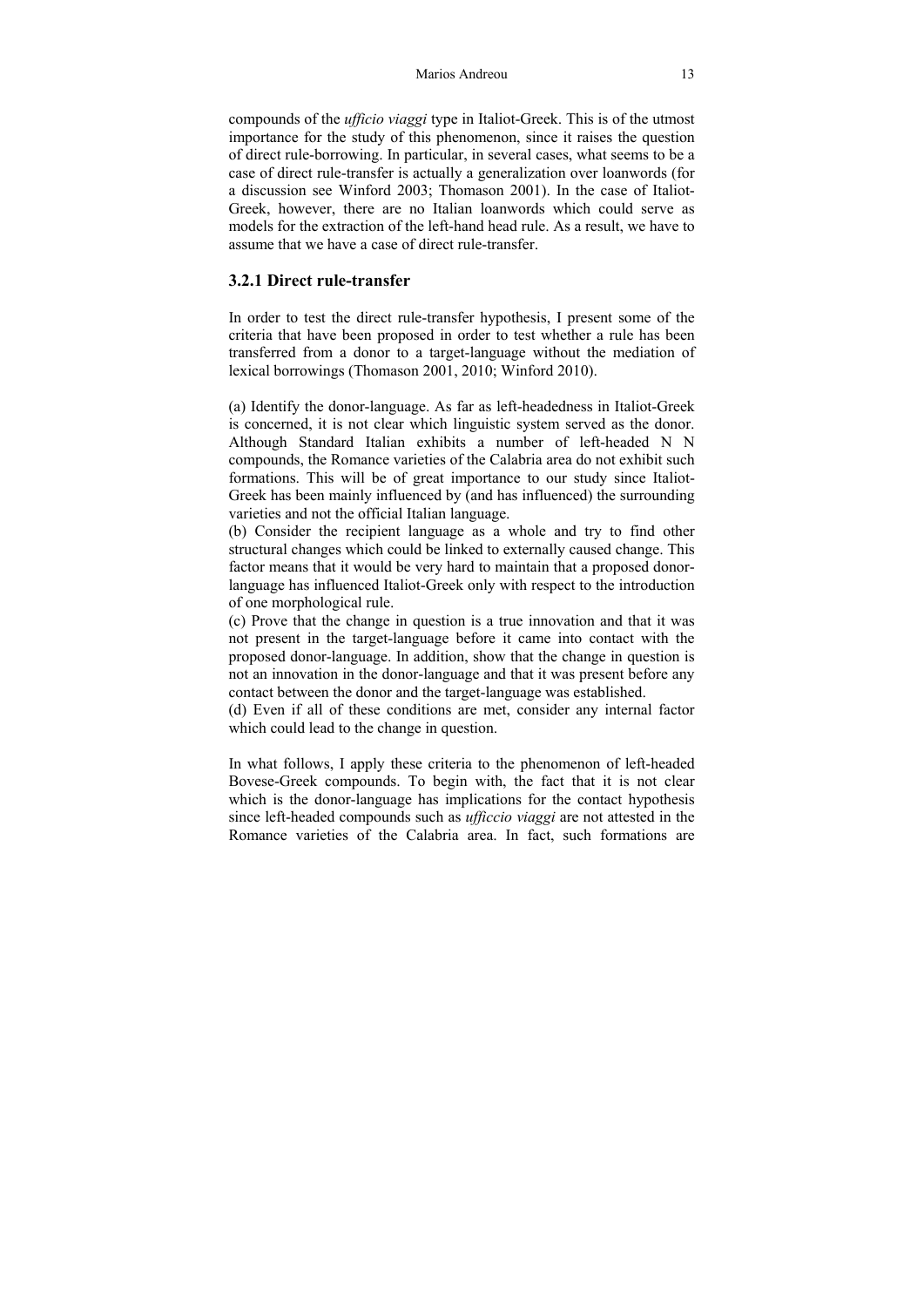#### Marios Andreou 13

compounds of the *ufficio viaggi* type in Italiot-Greek. This is of the utmost importance for the study of this phenomenon, since it raises the question of direct rule-borrowing. In particular, in several cases, what seems to be a case of direct rule-transfer is actually a generalization over loanwords (for a discussion see Winford 2003; Thomason 2001). In the case of Italiot-Greek, however, there are no Italian loanwords which could serve as models for the extraction of the left-hand head rule. As a result, we have to assume that we have a case of direct rule-transfer.

# **3.2.1 Direct rule-transfer**

In order to test the direct rule-transfer hypothesis, I present some of the criteria that have been proposed in order to test whether a rule has been transferred from a donor to a target-language without the mediation of lexical borrowings (Thomason 2001, 2010; Winford 2010).

(a) Identify the donor-language. As far as left-headedness in Italiot-Greek is concerned, it is not clear which linguistic system served as the donor. Although Standard Italian exhibits a number of left-headed N N compounds, the Romance varieties of the Calabria area do not exhibit such formations. This will be of great importance to our study since Italiot-Greek has been mainly influenced by (and has influenced) the surrounding varieties and not the official Italian language.

(b) Consider the recipient language as a whole and try to find other structural changes which could be linked to externally caused change. This factor means that it would be very hard to maintain that a proposed donorlanguage has influenced Italiot-Greek only with respect to the introduction of one morphological rule.

(c) Prove that the change in question is a true innovation and that it was not present in the target-language before it came into contact with the proposed donor-language. In addition, show that the change in question is not an innovation in the donor-language and that it was present before any contact between the donor and the target-language was established.

(d) Even if all of these conditions are met, consider any internal factor which could lead to the change in question.

In what follows, I apply these criteria to the phenomenon of left-headed Bovese-Greek compounds. To begin with, the fact that it is not clear which is the donor-language has implications for the contact hypothesis since left-headed compounds such as *ufficcio viaggi* are not attested in the Romance varieties of the Calabria area. In fact, such formations are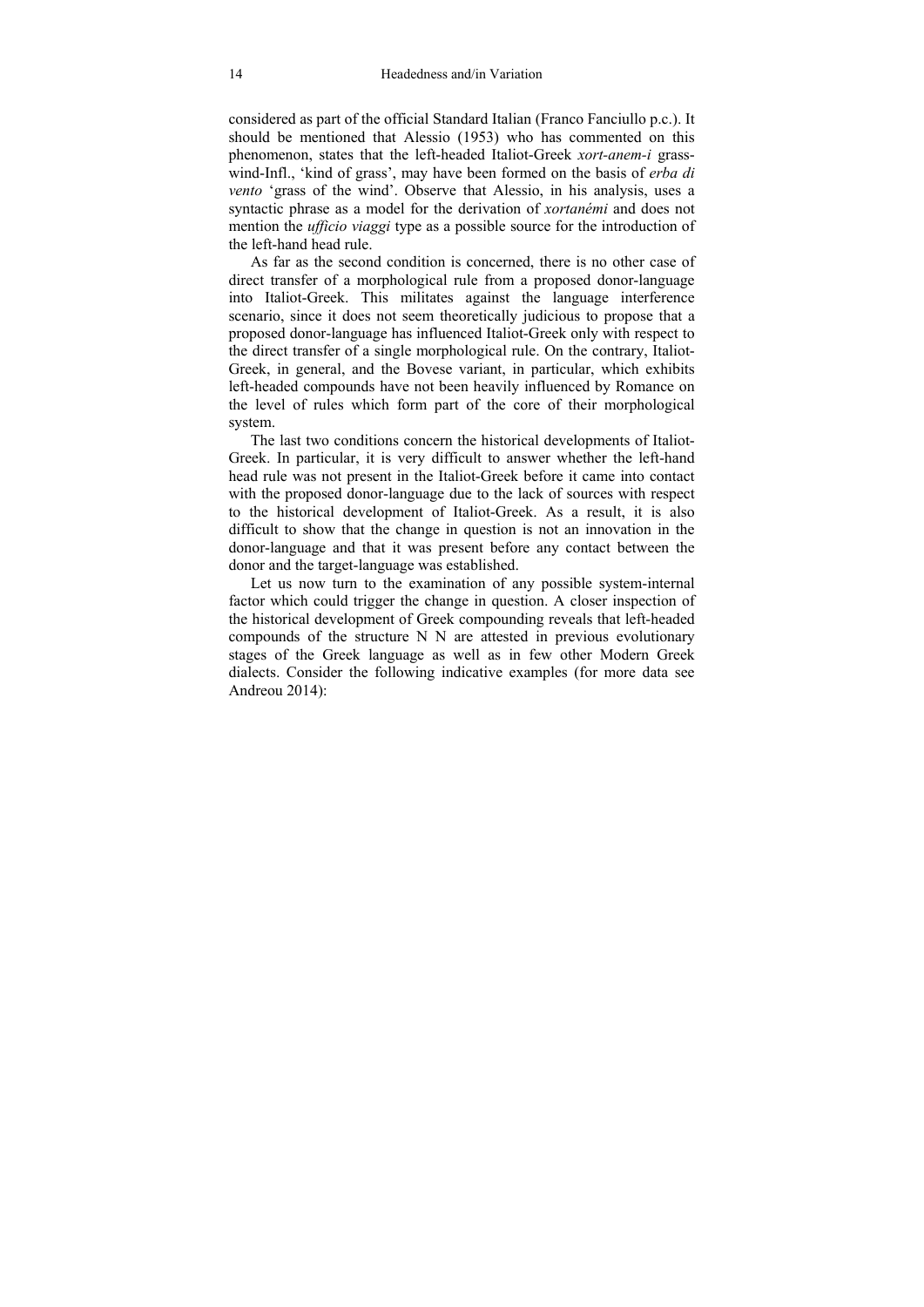considered as part of the official Standard Italian (Franco Fanciullo p.c.). It should be mentioned that Alessio (1953) who has commented on this phenomenon, states that the left-headed Italiot-Greek *xort-anem-i* grasswind-Infl., 'kind of grass', may have been formed on the basis of *erba di vento* 'grass of the wind'. Observe that Alessio, in his analysis, uses a syntactic phrase as a model for the derivation of *xortanémi* and does not mention the *ufficio viaggi* type as a possible source for the introduction of the left-hand head rule.

As far as the second condition is concerned, there is no other case of direct transfer of a morphological rule from a proposed donor-language into Italiot-Greek. This militates against the language interference scenario, since it does not seem theoretically judicious to propose that a proposed donor-language has influenced Italiot-Greek only with respect to the direct transfer of a single morphological rule. On the contrary, Italiot-Greek, in general, and the Bovese variant, in particular, which exhibits left-headed compounds have not been heavily influenced by Romance on the level of rules which form part of the core of their morphological system.

The last two conditions concern the historical developments of Italiot-Greek. In particular, it is very difficult to answer whether the left-hand head rule was not present in the Italiot-Greek before it came into contact with the proposed donor-language due to the lack of sources with respect to the historical development of Italiot-Greek. As a result, it is also difficult to show that the change in question is not an innovation in the donor-language and that it was present before any contact between the donor and the target-language was established.

Let us now turn to the examination of any possible system-internal factor which could trigger the change in question. A closer inspection of the historical development of Greek compounding reveals that left-headed compounds of the structure N N are attested in previous evolutionary stages of the Greek language as well as in few other Modern Greek dialects. Consider the following indicative examples (for more data see Andreou 2014):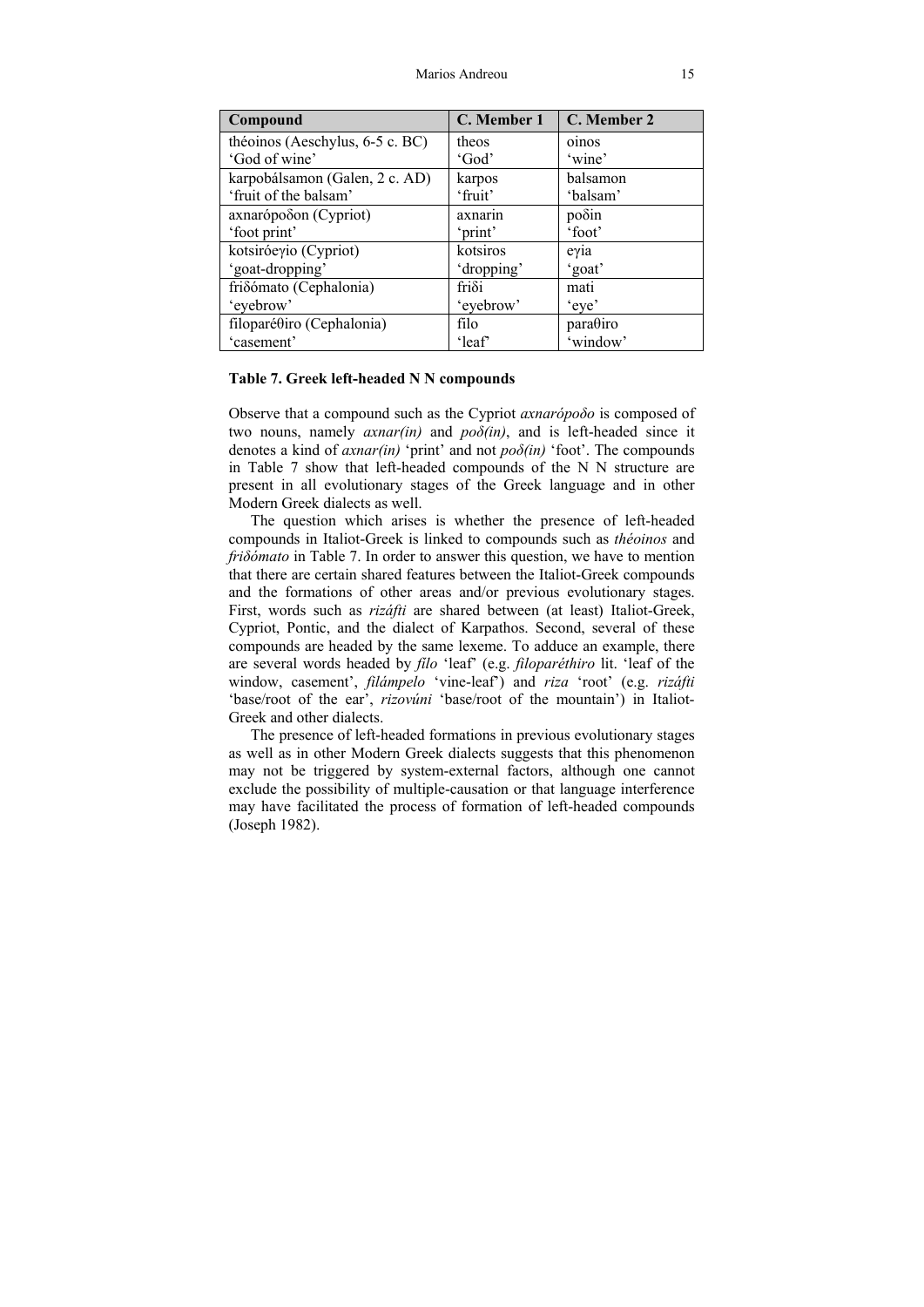| Compound                        | C. Member 1   | C. Member 2                   |
|---------------------------------|---------------|-------------------------------|
| théoinos (Aeschylus, 6-5 c. BC) | theos         | oinos                         |
| 'God of wine'                   | 'God'         | 'wine'                        |
| karpobálsamon (Galen, 2 c. AD)  | karpos        | balsamon                      |
| 'fruit of the balsam'           | 'fruit'       | 'balsam'                      |
| axnarópoδon (Cypriot)           | axnarin       | poδin                         |
| 'foot print'                    | 'print'       | 'foot'                        |
| kotsiróeγio (Cypriot)           | kotsiros      | $e$ $\gamma$ <sub>1</sub> $a$ |
| 'goat-dropping'                 | 'dropping'    | 'goat'                        |
| friδómato (Cephalonia)          | $fri\delta i$ | mati                          |
| 'eyebrow'                       | 'eyebrow'     | 'eye'                         |
| filoparéθiro (Cephalonia)       | filo          | para@iro                      |
| 'casement'                      | 'leaf'        | 'window'                      |

#### **Table 7. Greek left-headed N N compounds**

Observe that a compound such as the Cypriot *axnarópoδo* is composed of two nouns, namely  $\alpha x \cdot n \alpha r$  *in*) and  $p \circ \delta$ *(in)*, and is left-headed since it denotes a kind of *axnar(in)* 'print' and not *poδ(in)* 'foot'. The compounds in Table 7 show that left-headed compounds of the N N structure are present in all evolutionary stages of the Greek language and in other Modern Greek dialects as well.

The question which arises is whether the presence of left-headed compounds in Italiot-Greek is linked to compounds such as *théoinos* and *friδómato* in Table 7. In order to answer this question, we have to mention that there are certain shared features between the Italiot-Greek compounds and the formations of other areas and/or previous evolutionary stages. First, words such as *rizáfti* are shared between (at least) Italiot-Greek, Cypriot, Pontic, and the dialect of Karpathos. Second, several of these compounds are headed by the same lexeme. To adduce an example, there are several words headed by *fílo* 'leaf' (e.g. *filoparéthiro* lit. 'leaf of the window, casement', *filámpelo* 'vine-leaf') and *riza* 'root' (e.g. *rizáfti*  'base/root of the ear', *rizovúni* 'base/root of the mountain') in Italiot-Greek and other dialects.

 The presence of left-headed formations in previous evolutionary stages as well as in other Modern Greek dialects suggests that this phenomenon may not be triggered by system-external factors, although one cannot exclude the possibility of multiple-causation or that language interference may have facilitated the process of formation of left-headed compounds (Joseph 1982).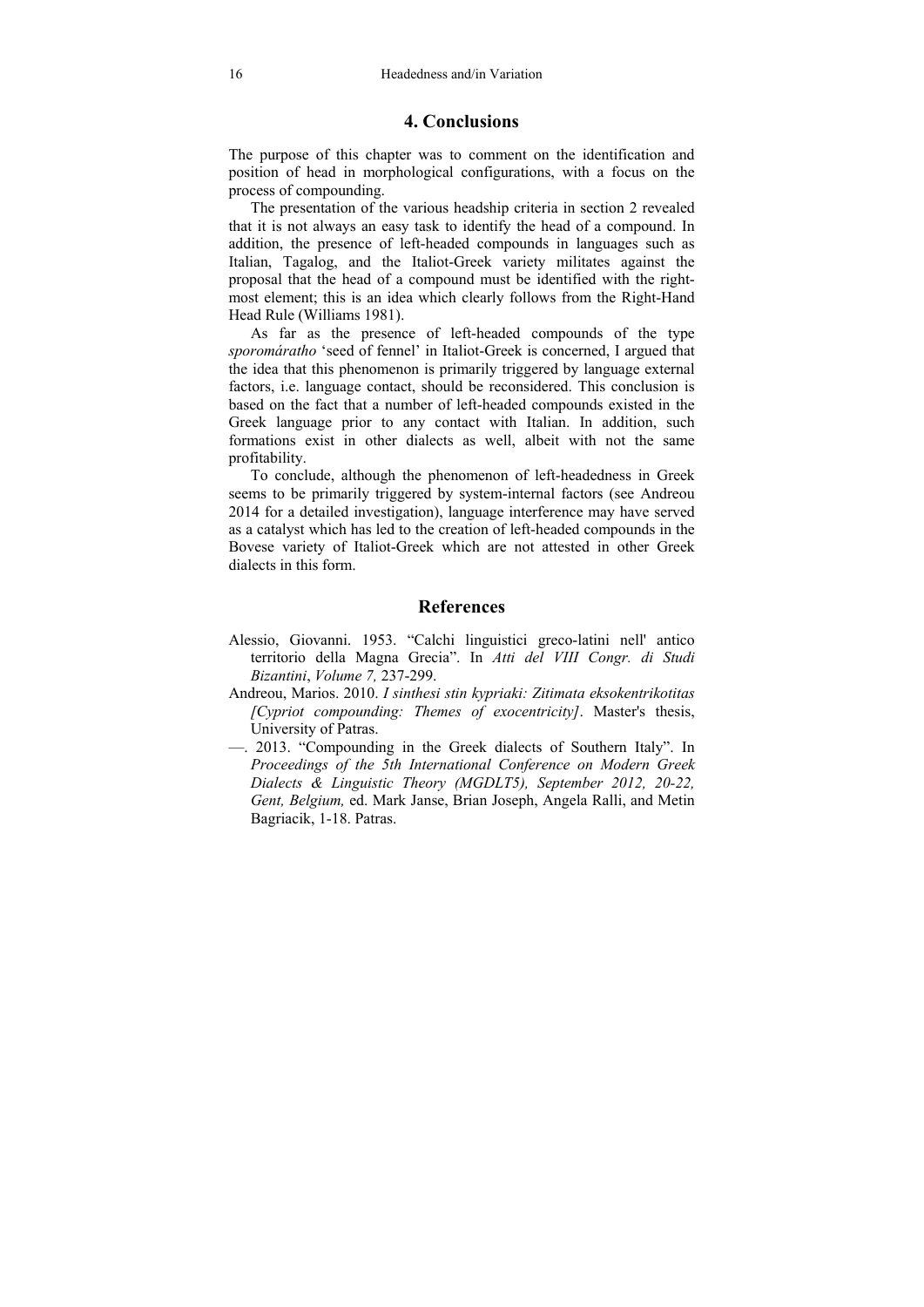## **4. Conclusions**

The purpose of this chapter was to comment on the identification and position of head in morphological configurations, with a focus on the process of compounding.

 The presentation of the various headship criteria in section 2 revealed that it is not always an easy task to identify the head of a compound. In addition, the presence of left-headed compounds in languages such as Italian, Tagalog, and the Italiot-Greek variety militates against the proposal that the head of a compound must be identified with the rightmost element; this is an idea which clearly follows from the Right-Hand Head Rule (Williams 1981).

 As far as the presence of left-headed compounds of the type *sporomáratho* 'seed of fennel' in Italiot-Greek is concerned, I argued that the idea that this phenomenon is primarily triggered by language external factors, i.e. language contact, should be reconsidered. This conclusion is based on the fact that a number of left-headed compounds existed in the Greek language prior to any contact with Italian. In addition, such formations exist in other dialects as well, albeit with not the same profitability.

 To conclude, although the phenomenon of left-headedness in Greek seems to be primarily triggered by system-internal factors (see Andreou 2014 for a detailed investigation), language interference may have served as a catalyst which has led to the creation of left-headed compounds in the Bovese variety of Italiot-Greek which are not attested in other Greek dialects in this form.

### **References**

- Alessio, Giovanni. 1953. "Calchi linguistici greco-latini nell' antico territorio della Magna Grecia". In *Atti del VIII Congr. di Studi Bizantini*, *Volume 7,* 237-299.
- Andreou, Marios. 2010. *I sinthesi stin kypriaki: Zitimata eksokentrikotitas [Cypriot compounding: Themes of exocentricity]*. Master's thesis, University of Patras.
- —. 2013. "Compounding in the Greek dialects of Southern Italy". In *Proceedings of the 5th International Conference on Modern Greek Dialects & Linguistic Theory (MGDLT5), September 2012, 20-22, Gent, Belgium,* ed. Mark Janse, Brian Joseph, Angela Ralli, and Metin Bagriacik, 1-18. Patras.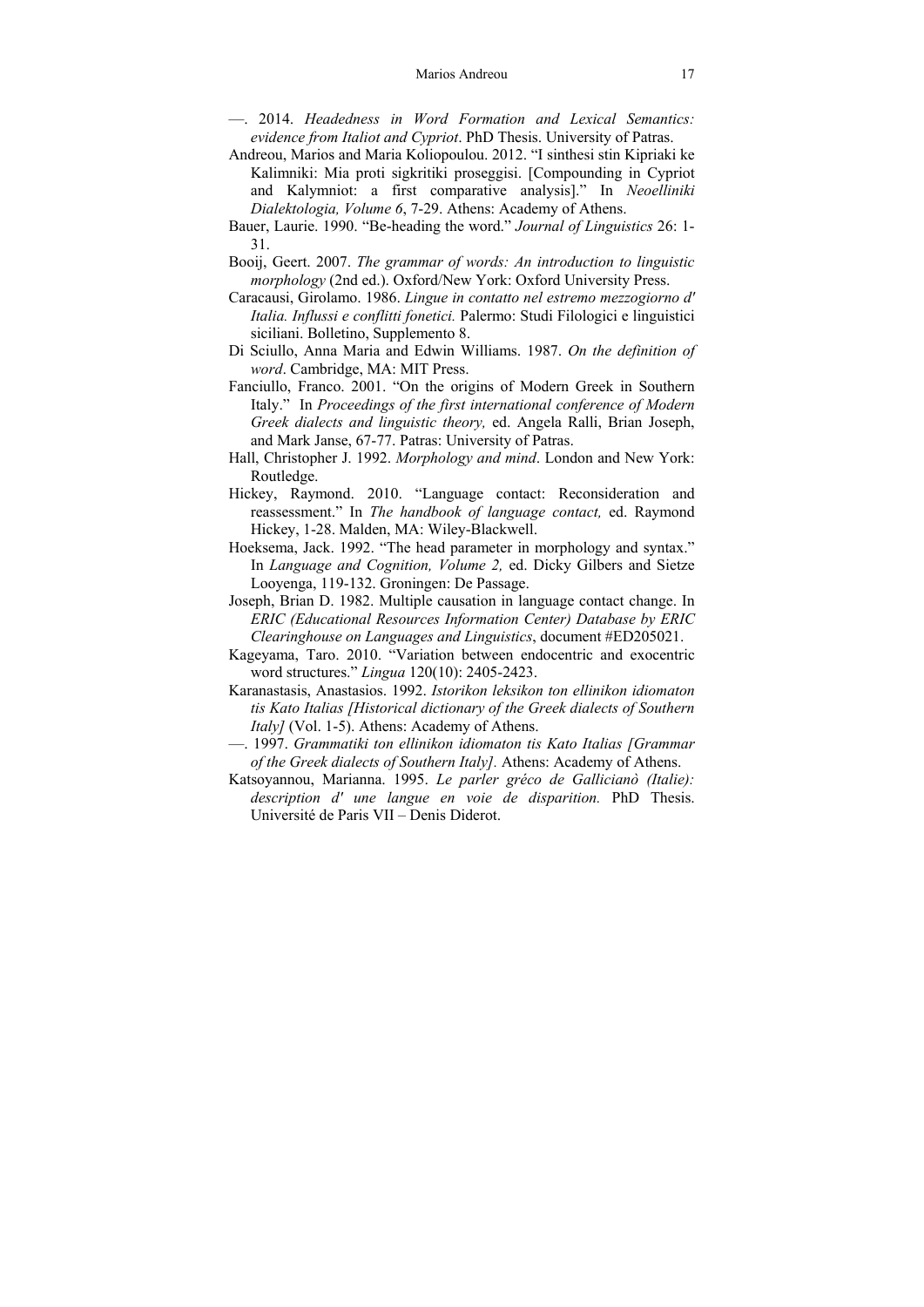- —. 2014. *Headedness in Word Formation and Lexical Semantics: evidence from Italiot and Cypriot*. PhD Thesis. University of Patras.
- Andreou, Marios and Maria Koliopoulou. 2012. "I sinthesi stin Kipriaki ke Kalimniki: Mia proti sigkritiki proseggisi. [Compounding in Cypriot and Kalymniot: a first comparative analysis]." In *Neoelliniki Dialektologia, Volume 6*, 7-29. Athens: Academy of Athens.
- Bauer, Laurie. 1990. "Be-heading the word." *Journal of Linguistics* 26: 1- 31.
- Booij, Geert. 2007. *The grammar of words: An introduction to linguistic morphology* (2nd ed.). Oxford/New York: Oxford University Press.
- Caracausi, Girolamo. 1986. *Lingue in contatto nel estremo mezzogiorno d' Italia. Influssi e conflitti fonetici.* Palermo: Studi Filologici e linguistici siciliani. Bolletino, Supplemento 8.
- Di Sciullo, Anna Maria and Edwin Williams. 1987. *On the definition of word*. Cambridge, MA: MIT Press.
- Fanciullo, Franco. 2001. "On the origins of Modern Greek in Southern Italy." In *Proceedings of the first international conference of Modern Greek dialects and linguistic theory,* ed. Angela Ralli, Brian Joseph, and Mark Janse, 67-77. Patras: University of Patras.
- Hall, Christopher J. 1992. *Morphology and mind*. London and New York: Routledge.
- Hickey, Raymond. 2010. "Language contact: Reconsideration and reassessment." In *The handbook of language contact,* ed. Raymond Hickey, 1-28. Malden, MA: Wiley-Blackwell.
- Hoeksema, Jack. 1992. "The head parameter in morphology and syntax." In *Language and Cognition, Volume 2,* ed. Dicky Gilbers and Sietze Looyenga, 119-132. Groningen: De Passage.
- Joseph, Brian D. 1982. Multiple causation in language contact change. In *ERIC (Educational Resources Information Center) Database by ERIC Clearinghouse on Languages and Linguistics*, document #ED205021.
- Kageyama, Taro. 2010. "Variation between endocentric and exocentric word structures." *Lingua* 120(10): 2405-2423.
- Karanastasis, Anastasios. 1992. *Istorikon leksikon ton ellinikon idiomaton tis Kato Italias [Historical dictionary of the Greek dialects of Southern Italy]* (Vol. 1-5). Athens: Academy of Athens.
- —. 1997. *Grammatiki ton ellinikon idiomaton tis Kato Italias [Grammar of the Greek dialects of Southern Italy].* Athens: Academy of Athens.
- Katsoyannou, Marianna. 1995. *Le parler gréco de Gallicianò (Italie): description d' une langue en voie de disparition.* PhD Thesis. Université de Paris VII – Denis Diderot.